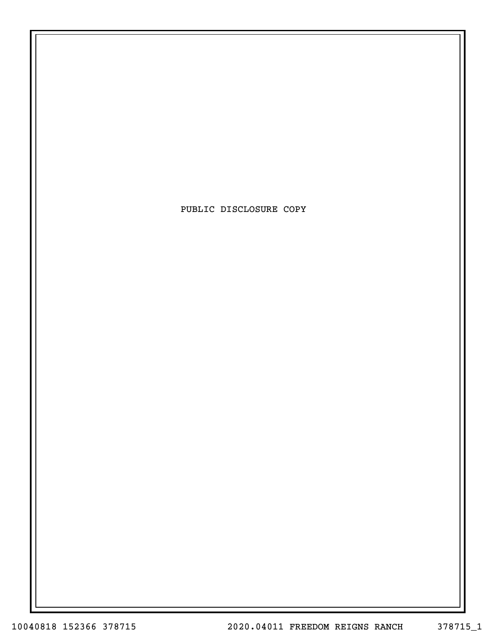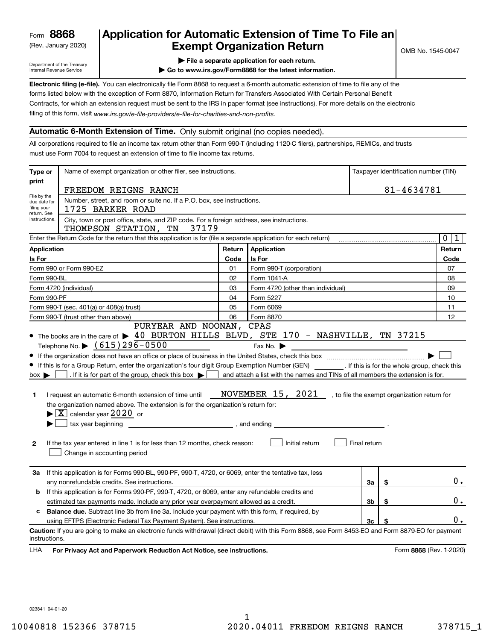# (Rev. January 2020)  $\begin{array}{|c|c|c|c|c|}\n\hline\n\textbf{Example} & \textbf{Exempt Organization Return} & \textbf{C1545-0047} & \textbf{C1545-0047} & \textbf{D201} & \textbf{D31} & \textbf{D41} & \textbf{D545-0047} & \textbf{D545-0047} & \textbf{D61} & \textbf{D75-0047} & \textbf{D81} & \textbf{D81-0047} & \textbf{D91-0047} & \textbf{D10-004$ Application for Automatic Extension of Time To File an

Department of the Treasury Internal Revenue Service

| File a separate application for each return.

| Go to www.irs.gov/Form8868 for the latest information.

Electronic filing (e-file). You can electronically file Form 8868 to request a 6-month automatic extension of time to file any of the filing of this form, visit www.irs.gov/e-file-providers/e-file-for-charities-and-non-profits. forms listed below with the exception of Form 8870, Information Return for Transfers Associated With Certain Personal Benefit Contracts, for which an extension request must be sent to the IRS in paper format (see instructions). For more details on the electronic

### Automatic 6-Month Extension of Time. Only submit original (no copies needed).

All corporations required to file an income tax return other than Form 990-T (including 1120-C filers), partnerships, REMICs, and trusts must use Form 7004 to request an extension of time to file income tax returns.

| Name of exempt organization or other filer, see instructions.<br>Type or   |                                                                                                                                                                                                                                                                                                                                                                                                                                                                                                                                                                                                                                                                                                                                                                                                                                                       |      |                                                                                                                                                                                                                                                                                                                |              |    | Taxpayer identification number (TIN) |
|----------------------------------------------------------------------------|-------------------------------------------------------------------------------------------------------------------------------------------------------------------------------------------------------------------------------------------------------------------------------------------------------------------------------------------------------------------------------------------------------------------------------------------------------------------------------------------------------------------------------------------------------------------------------------------------------------------------------------------------------------------------------------------------------------------------------------------------------------------------------------------------------------------------------------------------------|------|----------------------------------------------------------------------------------------------------------------------------------------------------------------------------------------------------------------------------------------------------------------------------------------------------------------|--------------|----|--------------------------------------|
| print                                                                      | FREEDOM REIGNS RANCH                                                                                                                                                                                                                                                                                                                                                                                                                                                                                                                                                                                                                                                                                                                                                                                                                                  |      |                                                                                                                                                                                                                                                                                                                |              |    | 81-4634781                           |
| File by the<br>due date for<br>filing your<br>return. See<br>instructions. | Number, street, and room or suite no. If a P.O. box, see instructions.<br>1725 BARKER ROAD<br>City, town or post office, state, and ZIP code. For a foreign address, see instructions.                                                                                                                                                                                                                                                                                                                                                                                                                                                                                                                                                                                                                                                                |      |                                                                                                                                                                                                                                                                                                                |              |    |                                      |
|                                                                            | THOMPSON STATION, TN 37179                                                                                                                                                                                                                                                                                                                                                                                                                                                                                                                                                                                                                                                                                                                                                                                                                            |      |                                                                                                                                                                                                                                                                                                                |              |    |                                      |
|                                                                            | Enter the Return Code for the return that this application is for (file a separate application for each return)                                                                                                                                                                                                                                                                                                                                                                                                                                                                                                                                                                                                                                                                                                                                       |      |                                                                                                                                                                                                                                                                                                                |              |    | $\mathbf 0$<br>1                     |
| <b>Application</b>                                                         |                                                                                                                                                                                                                                                                                                                                                                                                                                                                                                                                                                                                                                                                                                                                                                                                                                                       |      | Return Application                                                                                                                                                                                                                                                                                             |              |    | Return                               |
| <b>Is For</b>                                                              |                                                                                                                                                                                                                                                                                                                                                                                                                                                                                                                                                                                                                                                                                                                                                                                                                                                       | Code | Is For                                                                                                                                                                                                                                                                                                         |              |    | Code                                 |
|                                                                            | Form 990 or Form 990-EZ                                                                                                                                                                                                                                                                                                                                                                                                                                                                                                                                                                                                                                                                                                                                                                                                                               | 01   | Form 990-T (corporation)                                                                                                                                                                                                                                                                                       |              |    | 07                                   |
| Form 990-BL                                                                |                                                                                                                                                                                                                                                                                                                                                                                                                                                                                                                                                                                                                                                                                                                                                                                                                                                       | 02   | Form 1041-A                                                                                                                                                                                                                                                                                                    |              |    | 08                                   |
|                                                                            | Form 4720 (individual)                                                                                                                                                                                                                                                                                                                                                                                                                                                                                                                                                                                                                                                                                                                                                                                                                                | 03   | Form 4720 (other than individual)                                                                                                                                                                                                                                                                              |              |    | 09                                   |
| Form 990-PF                                                                |                                                                                                                                                                                                                                                                                                                                                                                                                                                                                                                                                                                                                                                                                                                                                                                                                                                       | 04   | Form 5227                                                                                                                                                                                                                                                                                                      |              |    | 10                                   |
|                                                                            | Form 990-T (sec. 401(a) or 408(a) trust)                                                                                                                                                                                                                                                                                                                                                                                                                                                                                                                                                                                                                                                                                                                                                                                                              | 05   | Form 6069                                                                                                                                                                                                                                                                                                      |              |    | 11                                   |
|                                                                            | Form 990-T (trust other than above)<br>PURYEAR AND NOONAN, CPAS                                                                                                                                                                                                                                                                                                                                                                                                                                                                                                                                                                                                                                                                                                                                                                                       | 06   | Form 8870                                                                                                                                                                                                                                                                                                      |              |    | 12                                   |
| $box \blacktriangleright$<br>1<br>$\mathbf{2}$                             | Telephone No. $\triangleright$ (615) 296-0500<br>• If this is for a Group Return, enter the organization's four digit Group Exemption Number (GEN) _________. If this is for the whole group, check this<br>. If it is for part of the group, check this box $\blacktriangleright$  <br>I request an automatic 6-month extension of time until<br>the organization named above. The extension is for the organization's return for:<br>$\blacktriangleright$ $\boxed{\text{X}}$ calendar year 2020 or<br>tax year beginning the state of the state of the state of the state of the state of the state of the state of the state of the state of the state of the state of the state of the state of the state of the state of the stat<br>If the tax year entered in line 1 is for less than 12 months, check reason:<br>Change in accounting period |      | Fax No.<br><u> 1989 - Johann John Stone, mars et al. 1989 - John Stone, mars et al. 1989 - John Stone, mars et al. 1989 - John Stone</u><br>and attach a list with the names and TINs of all members the extension is for.<br>NOVEMBER 15, 2021 , to file the exempt organization return for<br>Initial return | Final return |    |                                      |
| За                                                                         | If this application is for Forms 990-BL, 990-PF, 990-T, 4720, or 6069, enter the tentative tax, less<br>any nonrefundable credits. See instructions.                                                                                                                                                                                                                                                                                                                                                                                                                                                                                                                                                                                                                                                                                                  |      |                                                                                                                                                                                                                                                                                                                | За           | \$ | $0$ .                                |
| b                                                                          | If this application is for Forms 990-PF, 990-T, 4720, or 6069, enter any refundable credits and                                                                                                                                                                                                                                                                                                                                                                                                                                                                                                                                                                                                                                                                                                                                                       |      |                                                                                                                                                                                                                                                                                                                |              |    |                                      |
|                                                                            | estimated tax payments made. Include any prior year overpayment allowed as a credit.                                                                                                                                                                                                                                                                                                                                                                                                                                                                                                                                                                                                                                                                                                                                                                  |      |                                                                                                                                                                                                                                                                                                                | 3b           | \$ | 0.                                   |
| c                                                                          | <b>Balance due.</b> Subtract line 3b from line 3a. Include your payment with this form, if required, by                                                                                                                                                                                                                                                                                                                                                                                                                                                                                                                                                                                                                                                                                                                                               |      |                                                                                                                                                                                                                                                                                                                |              |    |                                      |
|                                                                            | using EFTPS (Electronic Federal Tax Payment System). See instructions.                                                                                                                                                                                                                                                                                                                                                                                                                                                                                                                                                                                                                                                                                                                                                                                |      |                                                                                                                                                                                                                                                                                                                | Зc           | \$ | 0.                                   |
| instructions.<br><b>LHA</b>                                                | Caution: If you are going to make an electronic funds withdrawal (direct debit) with this Form 8868, see Form 8453-EO and Form 8879-EO for payment<br>For Privacy Act and Paperwork Reduction Act Notice, see instructions.                                                                                                                                                                                                                                                                                                                                                                                                                                                                                                                                                                                                                           |      |                                                                                                                                                                                                                                                                                                                |              |    | Form 8868 (Rev. 1-2020)              |

023841 04-01-20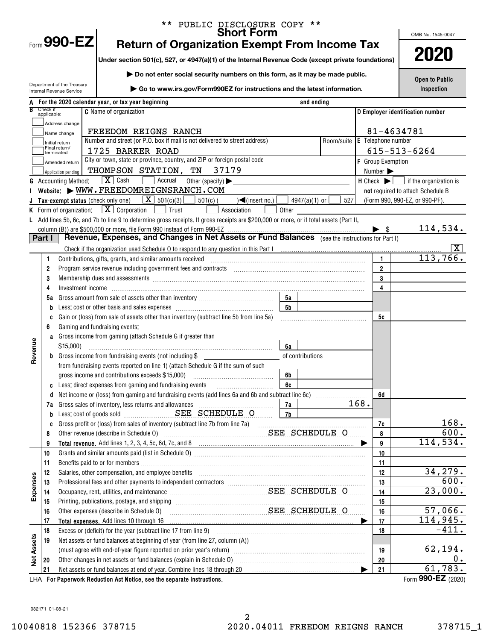|                   |                         |                                 | PUBLIC DISCLOSURE COPY **<br><b>Short Form</b>                                                                                                                                                                                 |                                |                              |              | OMB No. 1545-0047                                                |
|-------------------|-------------------------|---------------------------------|--------------------------------------------------------------------------------------------------------------------------------------------------------------------------------------------------------------------------------|--------------------------------|------------------------------|--------------|------------------------------------------------------------------|
|                   |                         | $F_{\text{GCD}}$ 990-EZ         | <b>Return of Organization Exempt From Income Tax</b>                                                                                                                                                                           |                                |                              |              |                                                                  |
|                   |                         |                                 | Under section 501(c), 527, or 4947(a)(1) of the Internal Revenue Code (except private foundations)                                                                                                                             |                                |                              |              | 2020                                                             |
|                   |                         |                                 | Do not enter social security numbers on this form, as it may be made public.                                                                                                                                                   |                                |                              |              |                                                                  |
|                   |                         | Department of the Treasury      |                                                                                                                                                                                                                                |                                |                              |              | <b>Open to Public</b>                                            |
|                   |                         | <b>Internal Revenue Service</b> | ▶ Go to www.irs.gov/Form990EZ for instructions and the latest information.                                                                                                                                                     |                                |                              |              | Inspection                                                       |
|                   |                         |                                 | For the 2020 calendar year, or tax year beginning                                                                                                                                                                              | and ending                     |                              |              |                                                                  |
|                   | Check if<br>applicable: |                                 | <b>C</b> Name of organization                                                                                                                                                                                                  |                                |                              |              | D Employer identification number                                 |
|                   |                         | Address change                  |                                                                                                                                                                                                                                |                                |                              |              |                                                                  |
|                   |                         | Name change                     | FREEDOM REIGNS RANCH<br>Number and street (or P.O. box if mail is not delivered to street address)                                                                                                                             | Room/suite                     | <b>E</b> Telephone number    | 81-4634781   |                                                                  |
|                   |                         | Initial return<br>Final return/ | 1725 BARKER ROAD                                                                                                                                                                                                               |                                |                              |              | $615 - 513 - 6264$                                               |
|                   |                         | terminated<br>Amended return    | City or town, state or province, country, and ZIP or foreign postal code                                                                                                                                                       |                                | <b>F</b> Group Exemption     |              |                                                                  |
|                   |                         | Application pending             | THOMPSON STATION, TN<br>37179                                                                                                                                                                                                  |                                | Number $\blacktriangleright$ |              |                                                                  |
|                   |                         | <b>G</b> Accounting Method:     | $\boxed{\mathbf{X}}$ Cash<br>Recrual<br>Other (specify) $\blacktriangleright$                                                                                                                                                  |                                |                              |              | $H$ Check $\blacktriangleright$ $\lfloor$ if the organization is |
|                   |                         |                                 | Website: WWW.FREEDOMREIGNSRANCH.COM                                                                                                                                                                                            |                                |                              |              | not required to attach Schedule B                                |
|                   |                         |                                 | <b>Tax-exempt status</b> (check only one) $ \boxed{\mathbf{X}}$ 501(c)(3)<br>$501(c)$ (<br>$\sqrt{\frac{2}{1}}$ (insert no.)                                                                                                   | 527<br>4947(a)(1) or $\lfloor$ |                              |              | (Form 990, 990-EZ, or 990-PF).                                   |
|                   |                         | K Form of organization:         | $\boxed{\mathbf{X}}$ Corporation<br>$\Box$ Trust<br>Association<br>Other                                                                                                                                                       |                                |                              |              |                                                                  |
|                   |                         |                                 | L Add lines 5b, 6c, and 7b to line 9 to determine gross receipts. If gross receipts are \$200,000 or more, or if total assets (Part II,                                                                                        |                                |                              |              |                                                                  |
|                   |                         |                                 | column (B)) are \$500,000 or more, file Form 990 instead of Form 990-EZ                                                                                                                                                        |                                | $\blacktriangleright$ \$     |              | 114,534.                                                         |
|                   | Part I                  |                                 | Revenue, Expenses, and Changes in Net Assets or Fund Balances (see the instructions for Part I)                                                                                                                                |                                |                              |              |                                                                  |
|                   |                         |                                 | Check if the organization used Schedule 0 to respond to any question in this Part Incommunically contained the organization used Schedule 0 to respond to any question in this Part I                                          |                                |                              |              | X  <br>113,766.                                                  |
|                   | 1<br>2                  |                                 | Contributions, gifts, grants, and similar amounts received                                                                                                                                                                     |                                | $\overline{2}$               | $\mathbf{1}$ |                                                                  |
|                   | 3                       |                                 | Membership dues and assessments [111] Martin Martin Martin Martin Martin Martin Martin Martin Martin Martin Ma                                                                                                                 |                                | $\mathbf{3}$                 |              |                                                                  |
|                   | 4                       |                                 |                                                                                                                                                                                                                                |                                | $\overline{\mathbf{4}}$      |              |                                                                  |
|                   | 5а                      |                                 | 5а                                                                                                                                                                                                                             |                                |                              |              |                                                                  |
|                   |                         |                                 | 5 <sub>b</sub><br>Less: cost or other basis and sales expenses [1111] [111] Less: cost or other basis and sales expenses [111] [11] $\frac{1}{2}$                                                                              |                                |                              |              |                                                                  |
|                   | C                       |                                 | Gain or (loss) from sale of assets other than inventory (subtract line 5b from line 5a)                                                                                                                                        |                                | 5c                           |              |                                                                  |
|                   | 6                       |                                 | Gaming and fundraising events:                                                                                                                                                                                                 |                                |                              |              |                                                                  |
|                   | a                       |                                 | Gross income from gaming (attach Schedule G if greater than                                                                                                                                                                    |                                |                              |              |                                                                  |
|                   |                         | \$15,000                        | 6a                                                                                                                                                                                                                             |                                |                              |              |                                                                  |
| Revenue           |                         |                                 | Gross income from fundraising events (not including \$                                                                                                                                                                         | of contributions               |                              |              |                                                                  |
|                   |                         |                                 | from fundraising events reported on line 1) (attach Schedule G if the sum of such                                                                                                                                              |                                |                              |              |                                                                  |
|                   |                         |                                 | gross income and contributions exceeds \$15,000)<br>6b                                                                                                                                                                         |                                |                              |              |                                                                  |
|                   | C                       |                                 | Less: direct expenses from gaming and fundraising events<br>6c                                                                                                                                                                 |                                | 6d                           |              |                                                                  |
|                   | 7a                      |                                 | 7a<br>Gross sales of inventory, less returns and allowances                                                                                                                                                                    |                                | 168.                         |              |                                                                  |
|                   | b                       |                                 | 7b                                                                                                                                                                                                                             |                                |                              |              |                                                                  |
|                   | C                       |                                 |                                                                                                                                                                                                                                |                                | 7c                           |              | 168.                                                             |
|                   | 8                       |                                 | SEE SCHEDULE O<br>Other revenue (describe in Schedule O)                                                                                                                                                                       |                                | 8                            |              | 600.                                                             |
|                   | 9                       |                                 |                                                                                                                                                                                                                                |                                |                              | 9            | 114,534.                                                         |
|                   | 10                      |                                 |                                                                                                                                                                                                                                |                                | 10                           |              |                                                                  |
|                   | 11                      |                                 |                                                                                                                                                                                                                                |                                | 11                           |              |                                                                  |
|                   | 12                      |                                 | Salaries, other compensation, and employee benefits                                                                                                                                                                            |                                | 12                           |              | 34, 279.<br>600.                                                 |
| Expenses          | 13                      |                                 |                                                                                                                                                                                                                                |                                | 13                           |              | 23,000.                                                          |
|                   | 14<br>15                |                                 | Occupancy, rent, utilities, and maintenance Material Materian Material SEE SCHEDULE O<br>Printing, publications, postage, and shipping                                                                                         |                                | 14<br>15                     |              |                                                                  |
|                   | 16                      |                                 | SEE SCHEDULE O<br>Other expenses (describe in Schedule O)                                                                                                                                                                      |                                | 16                           |              | 57,066.                                                          |
|                   | 17                      |                                 | Total expenses. Add lines 10 through 16                                                                                                                                                                                        |                                | 17                           |              | 114,945.                                                         |
|                   | 18                      |                                 | Excess or (deficit) for the year (subtract line 17 from line 9)                                                                                                                                                                |                                | 18                           |              | $-411.$                                                          |
| <b>Net Assets</b> | 19                      |                                 | Net assets or fund balances at beginning of year (from line 27, column (A))                                                                                                                                                    |                                |                              |              |                                                                  |
|                   |                         |                                 | (must agree with end-of-year figure reported on prior year's return) match match and the match contains an interest of the state of must be also also all the state of the state of must be also all the state of must be also |                                | 19                           |              | <u>62,194.</u>                                                   |
|                   | 20                      |                                 | Other changes in net assets or fund balances (explain in Schedule O)                                                                                                                                                           |                                | 20                           |              | $\overline{0}$                                                   |
|                   | 21                      |                                 | Net assets or fund balances at end of year. Combine lines 18 through 20                                                                                                                                                        |                                | 21                           |              | 61,783.                                                          |

For Paperwork Reduction Act Notice, see the separate instructions. LHA Form (2020)

990-EZ

032171 01-08-21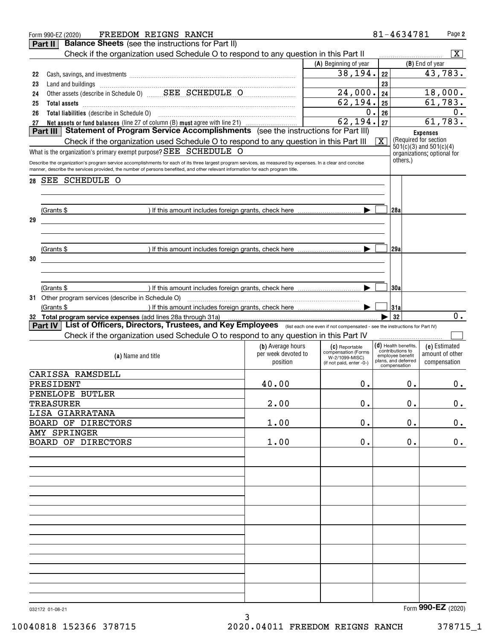|    | FREEDOM REIGNS RANCH<br>Form 990-EZ (2020)                                                                                                                                                                                                                                                     |                     |                                       |              | 81-4634781                                           |                 | Page 2                  |
|----|------------------------------------------------------------------------------------------------------------------------------------------------------------------------------------------------------------------------------------------------------------------------------------------------|---------------------|---------------------------------------|--------------|------------------------------------------------------|-----------------|-------------------------|
|    | <b>Balance Sheets</b> (see the instructions for Part II)<br>Part II                                                                                                                                                                                                                            |                     |                                       |              |                                                      |                 |                         |
|    | Check if the organization used Schedule O to respond to any question in this Part II                                                                                                                                                                                                           |                     |                                       |              |                                                      |                 | $\overline{\mathbf{X}}$ |
|    |                                                                                                                                                                                                                                                                                                |                     | (A) Beginning of year                 |              |                                                      | (B) End of year |                         |
| 22 | Cash, savings, and investments [111] Cash, saving and investments [11] Cash, savings, and investments [11] [11                                                                                                                                                                                 |                     | 38, 194.                              | 22           |                                                      |                 | 43,783.                 |
| 23 |                                                                                                                                                                                                                                                                                                |                     |                                       | 23           |                                                      |                 |                         |
| 24 |                                                                                                                                                                                                                                                                                                |                     | 24,000.                               | 24           |                                                      |                 | 18,000.                 |
| 25 | Total assets <b>continuum contract and assets contract and assets contract and assets contract and assets contract and assets</b>                                                                                                                                                              |                     | 62, 194.                              | 25           |                                                      |                 | 61,783.                 |
| 26 |                                                                                                                                                                                                                                                                                                |                     | $0$ .                                 | 26           |                                                      |                 | 0.                      |
| 27 | Net assets or fund balances (line 27 of column (B) must agree with line 21)                                                                                                                                                                                                                    |                     | 62, 194.                              | 27           |                                                      |                 | 61,783.                 |
|    | Statement of Program Service Accomplishments (see the instructions for Part III)<br>Part III                                                                                                                                                                                                   |                     |                                       |              |                                                      | <b>Expenses</b> |                         |
|    | Check if the organization used Schedule O to respond to any question in this Part III                                                                                                                                                                                                          |                     |                                       | $\mathbf{X}$ | (Required for section<br>$501(c)(3)$ and $501(c)(4)$ |                 |                         |
|    | What is the organization's primary exempt purpose? $SEE$ $SCHEDULE$ $O$                                                                                                                                                                                                                        |                     |                                       |              | organizations; optional for                          |                 |                         |
|    | Describe the organization's program service accomplishments for each of its three largest program services, as measured by expenses. In a clear and concise<br>manner, describe the services provided, the number of persons benefited, and other relevant information for each program title. |                     |                                       |              | others.)                                             |                 |                         |
|    |                                                                                                                                                                                                                                                                                                |                     |                                       |              |                                                      |                 |                         |
| 28 | SEE SCHEDULE O                                                                                                                                                                                                                                                                                 |                     |                                       |              |                                                      |                 |                         |
|    |                                                                                                                                                                                                                                                                                                |                     |                                       |              |                                                      |                 |                         |
|    |                                                                                                                                                                                                                                                                                                |                     |                                       |              | 128a                                                 |                 |                         |
| 29 | (Grants \$                                                                                                                                                                                                                                                                                     |                     |                                       |              |                                                      |                 |                         |
|    |                                                                                                                                                                                                                                                                                                |                     |                                       |              |                                                      |                 |                         |
|    |                                                                                                                                                                                                                                                                                                |                     |                                       |              |                                                      |                 |                         |
|    | (Grants \$                                                                                                                                                                                                                                                                                     |                     |                                       |              | 129a                                                 |                 |                         |
| 30 |                                                                                                                                                                                                                                                                                                |                     |                                       |              |                                                      |                 |                         |
|    |                                                                                                                                                                                                                                                                                                |                     |                                       |              |                                                      |                 |                         |
|    |                                                                                                                                                                                                                                                                                                |                     |                                       |              |                                                      |                 |                         |
|    | (Grants \$                                                                                                                                                                                                                                                                                     |                     |                                       |              | 130a                                                 |                 |                         |
|    |                                                                                                                                                                                                                                                                                                |                     |                                       |              |                                                      |                 |                         |
|    | (Grants \$                                                                                                                                                                                                                                                                                     |                     |                                       |              | 31a                                                  |                 |                         |
|    | 32 Total program service expenses (add lines 28a through 31a)                                                                                                                                                                                                                                  |                     |                                       |              | 32                                                   |                 | $0$ .                   |
|    | List of Officers, Directors, Trustees, and Key Employees (list each one even if not compensated - see the instructions for Part IV)<br>Part IV                                                                                                                                                 |                     |                                       |              |                                                      |                 |                         |
|    | Check if the organization used Schedule O to respond to any question in this Part IV                                                                                                                                                                                                           |                     |                                       |              |                                                      |                 |                         |
|    |                                                                                                                                                                                                                                                                                                | (b) Average hours   | (C) Reportable<br>compensation (Forms |              | $(d)$ Health benefits,<br>contributions to           |                 | (e) Estimated           |
|    | (a) Name and title                                                                                                                                                                                                                                                                             | per week devoted to | W-2/1099-MISC)                        |              | employee benefit<br>plans, and deferred              |                 | amount of other         |
|    |                                                                                                                                                                                                                                                                                                | position            | (if not paid, enter -0-)              |              | compensation                                         |                 | compensation            |
|    | CARISSA RAMSDELL                                                                                                                                                                                                                                                                               |                     |                                       |              |                                                      |                 |                         |
|    | PRESIDENT                                                                                                                                                                                                                                                                                      | 40.00               | 0.                                    |              | 0.                                                   |                 | 0.                      |
|    | PENELOPE BUTLER                                                                                                                                                                                                                                                                                |                     |                                       |              |                                                      |                 |                         |
|    | TREASURER                                                                                                                                                                                                                                                                                      | 2.00                | 0.                                    |              | 0.                                                   |                 | $0_{.}$                 |
|    | LISA GIARRATANA<br>BOARD OF DIRECTORS                                                                                                                                                                                                                                                          | 1.00                | 0.                                    |              | 0.                                                   |                 | 0.                      |
|    | AMY SPRINGER                                                                                                                                                                                                                                                                                   |                     |                                       |              |                                                      |                 |                         |
|    | BOARD OF DIRECTORS                                                                                                                                                                                                                                                                             | 1.00                | 0.                                    |              | $\mathbf 0$ .                                        |                 | 0.                      |
|    |                                                                                                                                                                                                                                                                                                |                     |                                       |              |                                                      |                 |                         |
|    |                                                                                                                                                                                                                                                                                                |                     |                                       |              |                                                      |                 |                         |
|    |                                                                                                                                                                                                                                                                                                |                     |                                       |              |                                                      |                 |                         |
|    |                                                                                                                                                                                                                                                                                                |                     |                                       |              |                                                      |                 |                         |
|    |                                                                                                                                                                                                                                                                                                |                     |                                       |              |                                                      |                 |                         |
|    |                                                                                                                                                                                                                                                                                                |                     |                                       |              |                                                      |                 |                         |
|    |                                                                                                                                                                                                                                                                                                |                     |                                       |              |                                                      |                 |                         |
|    |                                                                                                                                                                                                                                                                                                |                     |                                       |              |                                                      |                 |                         |
|    |                                                                                                                                                                                                                                                                                                |                     |                                       |              |                                                      |                 |                         |
|    |                                                                                                                                                                                                                                                                                                |                     |                                       |              |                                                      |                 |                         |
|    |                                                                                                                                                                                                                                                                                                |                     |                                       |              |                                                      |                 |                         |
|    |                                                                                                                                                                                                                                                                                                |                     |                                       |              |                                                      |                 |                         |
|    |                                                                                                                                                                                                                                                                                                |                     |                                       |              |                                                      |                 |                         |
|    |                                                                                                                                                                                                                                                                                                |                     |                                       |              |                                                      |                 |                         |
|    |                                                                                                                                                                                                                                                                                                |                     |                                       |              |                                                      |                 |                         |
|    |                                                                                                                                                                                                                                                                                                |                     |                                       |              |                                                      |                 |                         |
|    | 032172 01-08-21                                                                                                                                                                                                                                                                                |                     |                                       |              |                                                      |                 | Form 990-EZ (2020)      |
|    |                                                                                                                                                                                                                                                                                                | 3                   |                                       |              |                                                      |                 |                         |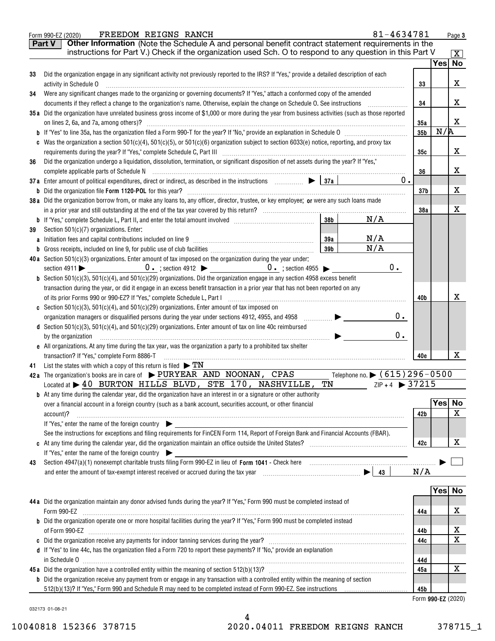|    | 81-4634781<br>FREEDOM REIGNS RANCH<br>Form 990-EZ (2020)                                                                                                                                                                                                                                                                                                                                                                                                          |                    |     | Page 3             |
|----|-------------------------------------------------------------------------------------------------------------------------------------------------------------------------------------------------------------------------------------------------------------------------------------------------------------------------------------------------------------------------------------------------------------------------------------------------------------------|--------------------|-----|--------------------|
|    | Other Information (Note the Schedule A and personal benefit contract statement requirements in the<br>Part V                                                                                                                                                                                                                                                                                                                                                      |                    |     |                    |
|    | instructions for Part V.) Check if the organization used Sch. O to respond to any question in this Part V                                                                                                                                                                                                                                                                                                                                                         |                    |     | $\boxed{\text{X}}$ |
|    |                                                                                                                                                                                                                                                                                                                                                                                                                                                                   |                    |     | Yes No             |
| 33 | Did the organization engage in any significant activity not previously reported to the IRS? If "Yes," provide a detailed description of each                                                                                                                                                                                                                                                                                                                      |                    |     |                    |
|    | activity in Schedule O                                                                                                                                                                                                                                                                                                                                                                                                                                            | 33                 |     | x                  |
| 34 | Were any significant changes made to the organizing or governing documents? If "Yes," attach a conformed copy of the amended                                                                                                                                                                                                                                                                                                                                      |                    |     |                    |
|    | documents if they reflect a change to the organization's name. Otherwise, explain the change on Schedule O. See instructions                                                                                                                                                                                                                                                                                                                                      | 34                 |     | x                  |
|    | 35a Did the organization have unrelated business gross income of \$1,000 or more during the year from business activities (such as those reported                                                                                                                                                                                                                                                                                                                 |                    |     |                    |
|    |                                                                                                                                                                                                                                                                                                                                                                                                                                                                   | 35a                |     | x                  |
|    |                                                                                                                                                                                                                                                                                                                                                                                                                                                                   | 35 <sub>b</sub>    | N/R |                    |
|    | c Was the organization a section $501(c)(4)$ , $501(c)(5)$ , or $501(c)(6)$ organization subject to section $6033(e)$ notice, reporting, and proxy tax                                                                                                                                                                                                                                                                                                            |                    |     |                    |
|    |                                                                                                                                                                                                                                                                                                                                                                                                                                                                   | 35с                |     | x                  |
| 36 | Did the organization undergo a liquidation, dissolution, termination, or significant disposition of net assets during the year? If "Yes,"                                                                                                                                                                                                                                                                                                                         |                    |     |                    |
|    |                                                                                                                                                                                                                                                                                                                                                                                                                                                                   | 36                 |     | x                  |
|    | 37a Enter amount of political expenditures, direct or indirect, as described in the instructions $\Box$ $\Box$ $\Box$<br>0.                                                                                                                                                                                                                                                                                                                                       |                    |     |                    |
|    |                                                                                                                                                                                                                                                                                                                                                                                                                                                                   | 37b                |     | x                  |
|    | 38a Did the organization borrow from, or make any loans to, any officer, director, trustee, or key employee; or were any such loans made                                                                                                                                                                                                                                                                                                                          |                    |     | x                  |
|    | 38 <sub>b</sub><br>N/A                                                                                                                                                                                                                                                                                                                                                                                                                                            | 38a                |     |                    |
| 39 | Section 501(c)(7) organizations. Enter:                                                                                                                                                                                                                                                                                                                                                                                                                           |                    |     |                    |
|    | N/A<br>39a                                                                                                                                                                                                                                                                                                                                                                                                                                                        |                    |     |                    |
|    | N/A<br>39 <sub>b</sub>                                                                                                                                                                                                                                                                                                                                                                                                                                            |                    |     |                    |
|    | 40a Section $501(c)(3)$ organizations. Enter amount of tax imposed on the organization during the year under:                                                                                                                                                                                                                                                                                                                                                     |                    |     |                    |
|    | $0$ .<br>section 4911 $\bullet$ 0. ; section 4912 $\bullet$ 0. ; section 4955 $\bullet$                                                                                                                                                                                                                                                                                                                                                                           |                    |     |                    |
|    | <b>b</b> Section 501(c)(3), 501(c)(4), and 501(c)(29) organizations. Did the organization engage in any section 4958 excess benefit                                                                                                                                                                                                                                                                                                                               |                    |     |                    |
|    | transaction during the year, or did it engage in an excess benefit transaction in a prior year that has not been reported on any                                                                                                                                                                                                                                                                                                                                  |                    |     |                    |
|    | of its prior Forms 990 or 990-EZ? If "Yes," complete Schedule L, Part I [1] [1] [1] [1] [1] [1] [1] [1] [1] [1                                                                                                                                                                                                                                                                                                                                                    | 40b                |     | x                  |
|    | c Section 501(c)(3), 501(c)(4), and 501(c)(29) organizations. Enter amount of tax imposed on                                                                                                                                                                                                                                                                                                                                                                      |                    |     |                    |
|    | $0$ .<br>$\begin{picture}(20,20) \put(0,0){\line(1,0){10}} \put(15,0){\line(1,0){10}} \put(15,0){\line(1,0){10}} \put(15,0){\line(1,0){10}} \put(15,0){\line(1,0){10}} \put(15,0){\line(1,0){10}} \put(15,0){\line(1,0){10}} \put(15,0){\line(1,0){10}} \put(15,0){\line(1,0){10}} \put(15,0){\line(1,0){10}} \put(15,0){\line(1,0){10}} \put(15,0){\line(1$<br>organization managers or disqualified persons during the year under sections 4912, 4955, and 4958 |                    |     |                    |
|    | d Section 501(c)(3), 501(c)(4), and 501(c)(29) organizations. Enter amount of tax on line 40c reimbursed                                                                                                                                                                                                                                                                                                                                                          |                    |     |                    |
|    | $0$ .<br>by the organization                                                                                                                                                                                                                                                                                                                                                                                                                                      |                    |     |                    |
|    | e All organizations. At any time during the tax year, was the organization a party to a prohibited tax shelter                                                                                                                                                                                                                                                                                                                                                    |                    |     |                    |
|    | transaction? If "Yes," complete Form 8886-T                                                                                                                                                                                                                                                                                                                                                                                                                       | 40e                |     | x                  |
| 41 | List the states with which a copy of this return is filed $\triangleright$ TN                                                                                                                                                                                                                                                                                                                                                                                     |                    |     |                    |
|    | Telephone no. > (615) 296-0500<br>42a The organization's books are in care of $\blacktriangleright$ PURYEAR AND NOONAN, CPAS<br>Located at $\blacktriangleright$ 40 BURTON HILLS BLVD, STE 170, NASHVILLE, TN<br>$ZIP + 4$ > 37215                                                                                                                                                                                                                                |                    |     |                    |
|    | <b>b</b> At any time during the calendar year, did the organization have an interest in or a signature or other authority                                                                                                                                                                                                                                                                                                                                         |                    |     |                    |
|    | over a financial account in a foreign country (such as a bank account, securities account, or other financial                                                                                                                                                                                                                                                                                                                                                     |                    |     | Yes No             |
|    | account)?                                                                                                                                                                                                                                                                                                                                                                                                                                                         | 42b                |     | $\mathbf X$        |
|    | If "Yes," enter the name of the foreign country                                                                                                                                                                                                                                                                                                                                                                                                                   |                    |     |                    |
|    | See the instructions for exceptions and filing requirements for FinCEN Form 114, Report of Foreign Bank and Financial Accounts (FBAR).                                                                                                                                                                                                                                                                                                                            |                    |     |                    |
|    |                                                                                                                                                                                                                                                                                                                                                                                                                                                                   | 42c                |     | х                  |
|    | If "Yes," enter the name of the foreign country                                                                                                                                                                                                                                                                                                                                                                                                                   |                    |     |                    |
| 43 |                                                                                                                                                                                                                                                                                                                                                                                                                                                                   |                    |     |                    |
|    |                                                                                                                                                                                                                                                                                                                                                                                                                                                                   | N/A                |     |                    |
|    |                                                                                                                                                                                                                                                                                                                                                                                                                                                                   |                    |     |                    |
|    |                                                                                                                                                                                                                                                                                                                                                                                                                                                                   |                    |     | Yes No             |
|    | 44 a Did the organization maintain any donor advised funds during the year? If "Yes," Form 990 must be completed instead of                                                                                                                                                                                                                                                                                                                                       |                    |     |                    |
|    | Form 990-EZ                                                                                                                                                                                                                                                                                                                                                                                                                                                       | 44a                |     | х                  |
|    | <b>b</b> Did the organization operate one or more hospital facilities during the year? If "Yes," Form 990 must be completed instead                                                                                                                                                                                                                                                                                                                               |                    |     |                    |
|    |                                                                                                                                                                                                                                                                                                                                                                                                                                                                   | 44b                |     | х<br>X             |
|    | d If "Yes" to line 44c, has the organization filed a Form 720 to report these payments? If "No," provide an explanation                                                                                                                                                                                                                                                                                                                                           | 44c                |     |                    |
|    |                                                                                                                                                                                                                                                                                                                                                                                                                                                                   | 44d                |     |                    |
|    |                                                                                                                                                                                                                                                                                                                                                                                                                                                                   | 45a                |     | х                  |
|    | <b>b</b> Did the organization receive any payment from or engage in any transaction with a controlled entity within the meaning of section                                                                                                                                                                                                                                                                                                                        |                    |     |                    |
|    |                                                                                                                                                                                                                                                                                                                                                                                                                                                                   | 45b                |     |                    |
|    |                                                                                                                                                                                                                                                                                                                                                                                                                                                                   | Form 990-EZ (2020) |     |                    |
|    |                                                                                                                                                                                                                                                                                                                                                                                                                                                                   |                    |     |                    |

032173 01-08-21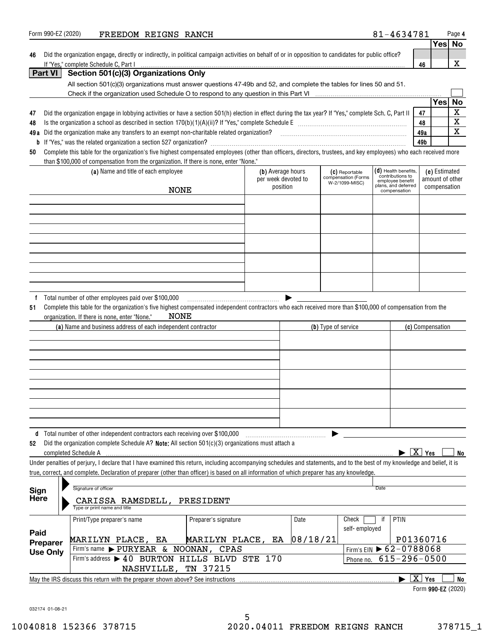| Form 990-EZ (2020)  | FREEDOM REIGNS RANCH                                                                                                                                                                                                                                                                                                     |                     |          |                                       | 81-4634781                             |                    |                    | Page 4      |
|---------------------|--------------------------------------------------------------------------------------------------------------------------------------------------------------------------------------------------------------------------------------------------------------------------------------------------------------------------|---------------------|----------|---------------------------------------|----------------------------------------|--------------------|--------------------|-------------|
|                     |                                                                                                                                                                                                                                                                                                                          |                     |          |                                       |                                        |                    | Yes No             |             |
| 46                  | Did the organization engage, directly or indirectly, in political campaign activities on behalf of or in opposition to candidates for public office?<br>If "Yes," complete Schedule C, Part I                                                                                                                            |                     |          |                                       |                                        |                    |                    | X           |
| Part VI             | Section 501(c)(3) Organizations Only                                                                                                                                                                                                                                                                                     |                     |          |                                       |                                        | 46                 |                    |             |
|                     | All section 501(c)(3) organizations must answer questions 47-49b and 52, and complete the tables for lines 50 and 51.                                                                                                                                                                                                    |                     |          |                                       |                                        |                    |                    |             |
|                     |                                                                                                                                                                                                                                                                                                                          |                     |          |                                       |                                        |                    |                    |             |
|                     |                                                                                                                                                                                                                                                                                                                          |                     |          |                                       |                                        |                    | Yes                | <b>No</b>   |
| 47                  | Did the organization engage in lobbying activities or have a section 501(h) election in effect during the tax year? If "Yes," complete Sch. C, Part II                                                                                                                                                                   |                     |          |                                       |                                        | 47                 |                    | $\mathbf X$ |
| 48                  |                                                                                                                                                                                                                                                                                                                          |                     |          |                                       |                                        | 48                 |                    | $\mathbf X$ |
|                     | 49a Did the organization make any transfers to an exempt non-charitable related organization?<br>2010 marries manufaction?  2010 matters and the community or matters and the community matter and the community of the communit                                                                                         |                     |          |                                       |                                        | 49a                |                    | X           |
| 50                  | Complete this table for the organization's five highest compensated employees (other than officers, directors, trustees, and key employees) who each received more                                                                                                                                                       |                     |          |                                       |                                        | 49b                |                    |             |
|                     | than \$100,000 of compensation from the organization. If there is none, enter "None."                                                                                                                                                                                                                                    |                     |          |                                       |                                        |                    |                    |             |
|                     | (a) Name and title of each employee                                                                                                                                                                                                                                                                                      | (b) Average hours   |          | (C) Reportable                        | $(d)$ Health benefits,                 |                    | (e) Estimated      |             |
|                     |                                                                                                                                                                                                                                                                                                                          | per week devoted to |          | compensation (Forms<br>W-2/1099-MISC) | contributions to<br>employee benefit   |                    | amount of other    |             |
|                     | <b>NONE</b>                                                                                                                                                                                                                                                                                                              | position            |          |                                       | plans, and deferred<br>compensation    |                    | compensation       |             |
|                     |                                                                                                                                                                                                                                                                                                                          |                     |          |                                       |                                        |                    |                    |             |
|                     |                                                                                                                                                                                                                                                                                                                          |                     |          |                                       |                                        |                    |                    |             |
|                     |                                                                                                                                                                                                                                                                                                                          |                     |          |                                       |                                        |                    |                    |             |
|                     |                                                                                                                                                                                                                                                                                                                          |                     |          |                                       |                                        |                    |                    |             |
|                     |                                                                                                                                                                                                                                                                                                                          |                     |          |                                       |                                        |                    |                    |             |
|                     |                                                                                                                                                                                                                                                                                                                          |                     |          |                                       |                                        |                    |                    |             |
|                     |                                                                                                                                                                                                                                                                                                                          |                     |          |                                       |                                        |                    |                    |             |
|                     |                                                                                                                                                                                                                                                                                                                          |                     |          |                                       |                                        |                    |                    |             |
|                     |                                                                                                                                                                                                                                                                                                                          |                     |          |                                       |                                        |                    |                    |             |
|                     | NONE<br>organization. If there is none, enter "None."<br>(a) Name and business address of each independent contractor                                                                                                                                                                                                    |                     |          | (b) Type of service                   |                                        | (c) Compensation   |                    |             |
|                     |                                                                                                                                                                                                                                                                                                                          |                     |          |                                       |                                        |                    |                    |             |
|                     |                                                                                                                                                                                                                                                                                                                          |                     |          |                                       |                                        |                    |                    |             |
|                     |                                                                                                                                                                                                                                                                                                                          |                     |          |                                       |                                        |                    |                    |             |
|                     |                                                                                                                                                                                                                                                                                                                          |                     |          |                                       |                                        |                    |                    |             |
|                     | d Total number of other independent contractors each receiving over \$100,000                                                                                                                                                                                                                                            |                     |          |                                       |                                        |                    |                    |             |
| 52                  | Did the organization complete Schedule A? Note: All section 501(c)(3) organizations must attach a<br>completed Schedule A                                                                                                                                                                                                |                     |          |                                       |                                        | $\overline{X}$ Yes |                    | No          |
|                     | Under penalties of perjury, I declare that I have examined this return, including accompanying schedules and statements, and to the best of my knowledge and belief, it is<br>true, correct, and complete. Declaration of preparer (other than officer) is based on all information of which preparer has any knowledge. |                     |          |                                       |                                        |                    |                    |             |
|                     | Signature of officer                                                                                                                                                                                                                                                                                                     |                     |          |                                       | <b>Date</b>                            |                    |                    |             |
| Sign<br><b>Here</b> | CARISSA RAMSDELL, PRESIDENT<br>Type or print name and title                                                                                                                                                                                                                                                              |                     |          |                                       |                                        |                    |                    |             |
|                     | Preparer's signature<br>Print/Type preparer's name                                                                                                                                                                                                                                                                       |                     | Date     | Check<br>self-employed                | if<br>PTIN                             |                    |                    |             |
| Paid                | MARILYN PLACE, EA<br>MARILYN PLACE, EA                                                                                                                                                                                                                                                                                   |                     | 08/18/21 |                                       |                                        | P01360716          |                    |             |
| Preparer            | Firm's name > PURYEAR & NOONAN, CPAS                                                                                                                                                                                                                                                                                     |                     |          |                                       | Firm's EIN $\triangleright$ 62-0788068 |                    |                    |             |
| <b>Use Only</b>     | Firm's address > 40 BURTON HILLS BLVD STE 170                                                                                                                                                                                                                                                                            |                     |          | Phone no.                             | $615 - 296 - 0500$                     |                    |                    |             |
|                     | NASHVILLE, TN 37215                                                                                                                                                                                                                                                                                                      |                     |          |                                       |                                        |                    |                    |             |
|                     | May the IRS discuss this return with the preparer shown above? See instructions                                                                                                                                                                                                                                          |                     |          |                                       |                                        | $\overline{X}$ Yes |                    | No          |
|                     |                                                                                                                                                                                                                                                                                                                          |                     |          |                                       |                                        |                    | Form 990-EZ (2020) |             |

032174 01-08-21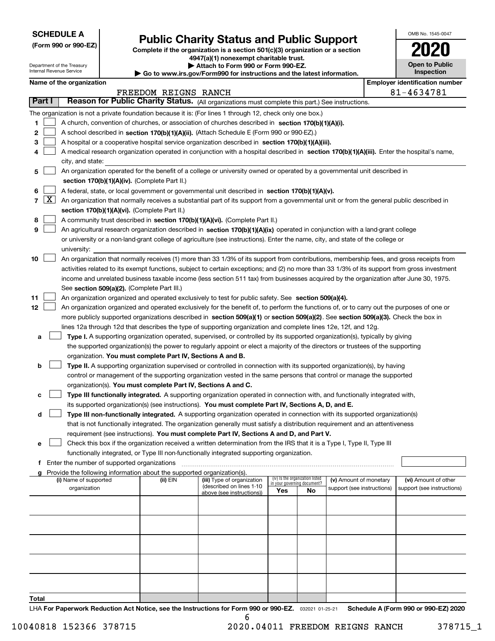Department of the Treasury Internal Revenue Service

# **Public Charity Status and Public Support**

(Form 990 or 990-EZ) Complete if the organization is a section 501(c)(3) organization or a section 4947(a)(1) nonexempt charitable trust.

| Attach to Form 990 or Form 990-EZ.

| Go to www.irs.gov/Form990 for instructions and the latest information.

| OMB No. 1545-0047                   |
|-------------------------------------|
| U                                   |
| <b>Open to Public</b><br>Inspection |

|  | Name of the organization |
|--|--------------------------|
|--|--------------------------|

|        |                     | Name of the organization                                                                                                                     |                      |                            |                                    |                                 |                            |  | <b>Employer identification number</b> |  |  |  |
|--------|---------------------|----------------------------------------------------------------------------------------------------------------------------------------------|----------------------|----------------------------|------------------------------------|---------------------------------|----------------------------|--|---------------------------------------|--|--|--|
|        |                     |                                                                                                                                              | FREEDOM REIGNS RANCH |                            |                                    |                                 |                            |  | 81-4634781                            |  |  |  |
| Part I |                     | Reason for Public Charity Status. (All organizations must complete this part.) See instructions.                                             |                      |                            |                                    |                                 |                            |  |                                       |  |  |  |
|        |                     | The organization is not a private foundation because it is: (For lines 1 through 12, check only one box.)                                    |                      |                            |                                    |                                 |                            |  |                                       |  |  |  |
| 1      |                     | A church, convention of churches, or association of churches described in section 170(b)(1)(A)(i).                                           |                      |                            |                                    |                                 |                            |  |                                       |  |  |  |
| 2      |                     | A school described in section 170(b)(1)(A)(ii). (Attach Schedule E (Form 990 or 990-EZ).)                                                    |                      |                            |                                    |                                 |                            |  |                                       |  |  |  |
| 3      |                     | A hospital or a cooperative hospital service organization described in section 170(b)(1)(A)(iii).                                            |                      |                            |                                    |                                 |                            |  |                                       |  |  |  |
| 4      |                     | A medical research organization operated in conjunction with a hospital described in section 170(b)(1)(A)(iii). Enter the hospital's name,   |                      |                            |                                    |                                 |                            |  |                                       |  |  |  |
|        |                     | city, and state:                                                                                                                             |                      |                            |                                    |                                 |                            |  |                                       |  |  |  |
| 5      |                     | An organization operated for the benefit of a college or university owned or operated by a governmental unit described in                    |                      |                            |                                    |                                 |                            |  |                                       |  |  |  |
|        |                     | section 170(b)(1)(A)(iv). (Complete Part II.)                                                                                                |                      |                            |                                    |                                 |                            |  |                                       |  |  |  |
| 6      |                     | A federal, state, or local government or governmental unit described in section 170(b)(1)(A)(v).                                             |                      |                            |                                    |                                 |                            |  |                                       |  |  |  |
| 7      | $\lfloor x \rfloor$ | An organization that normally receives a substantial part of its support from a governmental unit or from the general public described in    |                      |                            |                                    |                                 |                            |  |                                       |  |  |  |
|        |                     | section 170(b)(1)(A)(vi). (Complete Part II.)                                                                                                |                      |                            |                                    |                                 |                            |  |                                       |  |  |  |
| 8      |                     | A community trust described in section 170(b)(1)(A)(vi). (Complete Part II.)                                                                 |                      |                            |                                    |                                 |                            |  |                                       |  |  |  |
| 9      |                     | An agricultural research organization described in section 170(b)(1)(A)(ix) operated in conjunction with a land-grant college                |                      |                            |                                    |                                 |                            |  |                                       |  |  |  |
|        |                     | or university or a non-land-grant college of agriculture (see instructions). Enter the name, city, and state of the college or               |                      |                            |                                    |                                 |                            |  |                                       |  |  |  |
|        |                     | university:                                                                                                                                  |                      |                            |                                    |                                 |                            |  |                                       |  |  |  |
| 10     |                     | An organization that normally receives (1) more than 33 1/3% of its support from contributions, membership fees, and gross receipts from     |                      |                            |                                    |                                 |                            |  |                                       |  |  |  |
|        |                     | activities related to its exempt functions, subject to certain exceptions; and (2) no more than 33 1/3% of its support from gross investment |                      |                            |                                    |                                 |                            |  |                                       |  |  |  |
|        |                     | income and unrelated business taxable income (less section 511 tax) from businesses acquired by the organization after June 30, 1975.        |                      |                            |                                    |                                 |                            |  |                                       |  |  |  |
|        |                     | See section 509(a)(2). (Complete Part III.)                                                                                                  |                      |                            |                                    |                                 |                            |  |                                       |  |  |  |
| 11     |                     | An organization organized and operated exclusively to test for public safety. See section 509(a)(4).                                         |                      |                            |                                    |                                 |                            |  |                                       |  |  |  |
| 12     |                     | An organization organized and operated exclusively for the benefit of, to perform the functions of, or to carry out the purposes of one or   |                      |                            |                                    |                                 |                            |  |                                       |  |  |  |
|        |                     | more publicly supported organizations described in section 509(a)(1) or section 509(a)(2). See section 509(a)(3). Check the box in           |                      |                            |                                    |                                 |                            |  |                                       |  |  |  |
|        |                     | lines 12a through 12d that describes the type of supporting organization and complete lines 12e, 12f, and 12g.                               |                      |                            |                                    |                                 |                            |  |                                       |  |  |  |
| а      |                     | Type I. A supporting organization operated, supervised, or controlled by its supported organization(s), typically by giving                  |                      |                            |                                    |                                 |                            |  |                                       |  |  |  |
|        |                     | the supported organization(s) the power to regularly appoint or elect a majority of the directors or trustees of the supporting              |                      |                            |                                    |                                 |                            |  |                                       |  |  |  |
|        |                     | organization. You must complete Part IV, Sections A and B.                                                                                   |                      |                            |                                    |                                 |                            |  |                                       |  |  |  |
| b      |                     | Type II. A supporting organization supervised or controlled in connection with its supported organization(s), by having                      |                      |                            |                                    |                                 |                            |  |                                       |  |  |  |
|        |                     | control or management of the supporting organization vested in the same persons that control or manage the supported                         |                      |                            |                                    |                                 |                            |  |                                       |  |  |  |
|        |                     | organization(s). You must complete Part IV, Sections A and C.                                                                                |                      |                            |                                    |                                 |                            |  |                                       |  |  |  |
| c      |                     | Type III functionally integrated. A supporting organization operated in connection with, and functionally integrated with,                   |                      |                            |                                    |                                 |                            |  |                                       |  |  |  |
|        |                     | its supported organization(s) (see instructions). You must complete Part IV, Sections A, D, and E.                                           |                      |                            |                                    |                                 |                            |  |                                       |  |  |  |
| d      |                     | Type III non-functionally integrated. A supporting organization operated in connection with its supported organization(s)                    |                      |                            |                                    |                                 |                            |  |                                       |  |  |  |
|        |                     | that is not functionally integrated. The organization generally must satisfy a distribution requirement and an attentiveness                 |                      |                            |                                    |                                 |                            |  |                                       |  |  |  |
|        |                     | requirement (see instructions). You must complete Part IV, Sections A and D, and Part V.                                                     |                      |                            |                                    |                                 |                            |  |                                       |  |  |  |
| е      |                     | Check this box if the organization received a written determination from the IRS that it is a Type I, Type II, Type III                      |                      |                            |                                    |                                 |                            |  |                                       |  |  |  |
|        |                     | functionally integrated, or Type III non-functionally integrated supporting organization.                                                    |                      |                            |                                    |                                 |                            |  |                                       |  |  |  |
|        |                     | f Enter the number of supported organizations                                                                                                |                      |                            |                                    |                                 |                            |  |                                       |  |  |  |
|        |                     | g Provide the following information about the supported organization(s).<br>(i) Name of supported                                            | (ii) EIN             | (iii) Type of organization |                                    | (iv) Is the organization listed | (v) Amount of monetary     |  | (vi) Amount of other                  |  |  |  |
|        |                     | organization                                                                                                                                 |                      | (described on lines 1-10   | in your governing document?<br>Yes | No                              | support (see instructions) |  | support (see instructions)            |  |  |  |
|        |                     |                                                                                                                                              |                      | above (see instructions))  |                                    |                                 |                            |  |                                       |  |  |  |
|        |                     |                                                                                                                                              |                      |                            |                                    |                                 |                            |  |                                       |  |  |  |
|        |                     |                                                                                                                                              |                      |                            |                                    |                                 |                            |  |                                       |  |  |  |
|        |                     |                                                                                                                                              |                      |                            |                                    |                                 |                            |  |                                       |  |  |  |
|        |                     |                                                                                                                                              |                      |                            |                                    |                                 |                            |  |                                       |  |  |  |
|        |                     |                                                                                                                                              |                      |                            |                                    |                                 |                            |  |                                       |  |  |  |
|        |                     |                                                                                                                                              |                      |                            |                                    |                                 |                            |  |                                       |  |  |  |
|        |                     |                                                                                                                                              |                      |                            |                                    |                                 |                            |  |                                       |  |  |  |
|        |                     |                                                                                                                                              |                      |                            |                                    |                                 |                            |  |                                       |  |  |  |
|        |                     |                                                                                                                                              |                      |                            |                                    |                                 |                            |  |                                       |  |  |  |
| Total  |                     |                                                                                                                                              |                      |                            |                                    |                                 |                            |  |                                       |  |  |  |
|        |                     |                                                                                                                                              |                      |                            |                                    |                                 |                            |  |                                       |  |  |  |

LHA For Paperwork Reduction Act Notice, see the Instructions for Form 990 or 990-EZ. 032021 01-25-21 Schedule A (Form 990 or 990-EZ) 2020 6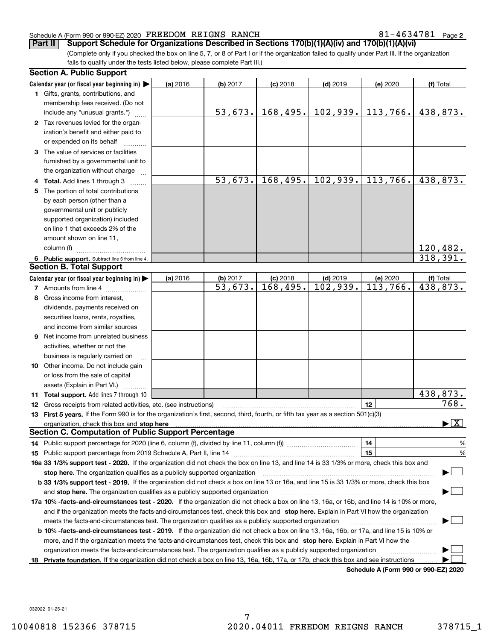$81 - 4634781$  Page 2

(Complete only if you checked the box on line 5, 7, or 8 of Part I or if the organization failed to qualify under Part III. If the organization fails to qualify under the tests listed below, please complete Part III.) **Part II** Support Schedule for Organizations Described in Sections 170(b)(1)(A)(iv) and 170(b)(1)(A)(vi)

|    | <b>Section A. Public Support</b>                                                                                                               |          |          |            |            |                                      |                                          |
|----|------------------------------------------------------------------------------------------------------------------------------------------------|----------|----------|------------|------------|--------------------------------------|------------------------------------------|
|    | Calendar year (or fiscal year beginning in) $\blacktriangleright$                                                                              | (a) 2016 | (b) 2017 | $(c)$ 2018 | $(d)$ 2019 | (e) 2020                             | (f) Total                                |
|    | 1 Gifts, grants, contributions, and                                                                                                            |          |          |            |            |                                      |                                          |
|    | membership fees received. (Do not                                                                                                              |          |          |            |            |                                      |                                          |
|    | include any "unusual grants.")                                                                                                                 |          | 53,673.  | 168, 495.  |            | $102,939.$ 113,766.                  | 438,873.                                 |
|    | 2 Tax revenues levied for the organ-                                                                                                           |          |          |            |            |                                      |                                          |
|    | ization's benefit and either paid to                                                                                                           |          |          |            |            |                                      |                                          |
|    | or expended on its behalf                                                                                                                      |          |          |            |            |                                      |                                          |
|    | 3 The value of services or facilities                                                                                                          |          |          |            |            |                                      |                                          |
|    | furnished by a governmental unit to                                                                                                            |          |          |            |            |                                      |                                          |
|    | the organization without charge                                                                                                                |          |          |            |            |                                      |                                          |
|    | 4 Total. Add lines 1 through 3                                                                                                                 |          | 53,673.  | 168,495.   | 102,939.   | 113,766.                             | 438,873.                                 |
| 5  | The portion of total contributions                                                                                                             |          |          |            |            |                                      |                                          |
|    | by each person (other than a                                                                                                                   |          |          |            |            |                                      |                                          |
|    | governmental unit or publicly                                                                                                                  |          |          |            |            |                                      |                                          |
|    | supported organization) included                                                                                                               |          |          |            |            |                                      |                                          |
|    | on line 1 that exceeds 2% of the                                                                                                               |          |          |            |            |                                      |                                          |
|    | amount shown on line 11,                                                                                                                       |          |          |            |            |                                      |                                          |
|    | column (f)                                                                                                                                     |          |          |            |            |                                      | 120,482.                                 |
|    | 6 Public support. Subtract line 5 from line 4.                                                                                                 |          |          |            |            |                                      | 318,391.                                 |
|    | <b>Section B. Total Support</b>                                                                                                                |          |          |            |            |                                      |                                          |
|    | Calendar year (or fiscal year beginning in)                                                                                                    | (a) 2016 | (b) 2017 | $(c)$ 2018 | $(d)$ 2019 | (e) 2020                             | (f) Total                                |
|    | 7 Amounts from line 4                                                                                                                          |          | 53,673.  | 168,495.   | 102,939.   | 113,766.                             | 438,873.                                 |
| 8  | Gross income from interest,                                                                                                                    |          |          |            |            |                                      |                                          |
|    | dividends, payments received on                                                                                                                |          |          |            |            |                                      |                                          |
|    | securities loans, rents, royalties,                                                                                                            |          |          |            |            |                                      |                                          |
|    | and income from similar sources                                                                                                                |          |          |            |            |                                      |                                          |
| 9  | Net income from unrelated business                                                                                                             |          |          |            |            |                                      |                                          |
|    | activities, whether or not the                                                                                                                 |          |          |            |            |                                      |                                          |
|    | business is regularly carried on                                                                                                               |          |          |            |            |                                      |                                          |
|    | <b>10</b> Other income. Do not include gain                                                                                                    |          |          |            |            |                                      |                                          |
|    | or loss from the sale of capital                                                                                                               |          |          |            |            |                                      |                                          |
|    | assets (Explain in Part VI.)                                                                                                                   |          |          |            |            |                                      |                                          |
|    | 11 Total support. Add lines 7 through 10                                                                                                       |          |          |            |            |                                      | 438,873.                                 |
|    | 12 Gross receipts from related activities, etc. (see instructions)                                                                             |          |          |            |            | 12                                   | 768.                                     |
|    | 13 First 5 years. If the Form 990 is for the organization's first, second, third, fourth, or fifth tax year as a section 501(c)(3)             |          |          |            |            |                                      |                                          |
|    | organization, check this box and <b>stop here</b> with the continuum continuum continuum continuum continuum continuum                         |          |          |            |            |                                      | $\blacktriangleright$ $\boxed{\text{X}}$ |
|    | <b>Section C. Computation of Public Support Percentage</b>                                                                                     |          |          |            |            |                                      |                                          |
|    |                                                                                                                                                |          |          |            |            | 14                                   | $\frac{9}{6}$                            |
|    |                                                                                                                                                |          |          |            |            | 15                                   | %                                        |
|    | 16a 33 1/3% support test - 2020. If the organization did not check the box on line 13, and line 14 is 33 1/3% or more, check this box and      |          |          |            |            |                                      |                                          |
|    | stop here. The organization qualifies as a publicly supported organization                                                                     |          |          |            |            |                                      |                                          |
|    | b 33 1/3% support test - 2019. If the organization did not check a box on line 13 or 16a, and line 15 is 33 1/3% or more, check this box       |          |          |            |            |                                      |                                          |
|    | and stop here. The organization qualifies as a publicly supported organization                                                                 |          |          |            |            |                                      |                                          |
|    | 17a 10% -facts-and-circumstances test - 2020. If the organization did not check a box on line 13, 16a, or 16b, and line 14 is 10% or more,     |          |          |            |            |                                      |                                          |
|    | and if the organization meets the facts-and-circumstances test, check this box and stop here. Explain in Part VI how the organization          |          |          |            |            |                                      |                                          |
|    | meets the facts-and-circumstances test. The organization qualifies as a publicly supported organization                                        |          |          |            |            |                                      |                                          |
|    | <b>b 10% -facts-and-circumstances test - 2019.</b> If the organization did not check a box on line 13, 16a, 16b, or 17a, and line 15 is 10% or |          |          |            |            |                                      |                                          |
|    | more, and if the organization meets the facts-and-circumstances test, check this box and stop here. Explain in Part VI how the                 |          |          |            |            |                                      |                                          |
|    | organization meets the facts-and-circumstances test. The organization qualifies as a publicly supported organization                           |          |          |            |            |                                      |                                          |
| 18 | Private foundation. If the organization did not check a box on line 13, 16a, 16b, 17a, or 17b, check this box and see instructions             |          |          |            |            |                                      |                                          |
|    |                                                                                                                                                |          |          |            |            | Schedule A (Form 990 or 990-EZ) 2020 |                                          |

Schedule A (Form 990 or 990-EZ) 2020

032022 01-25-21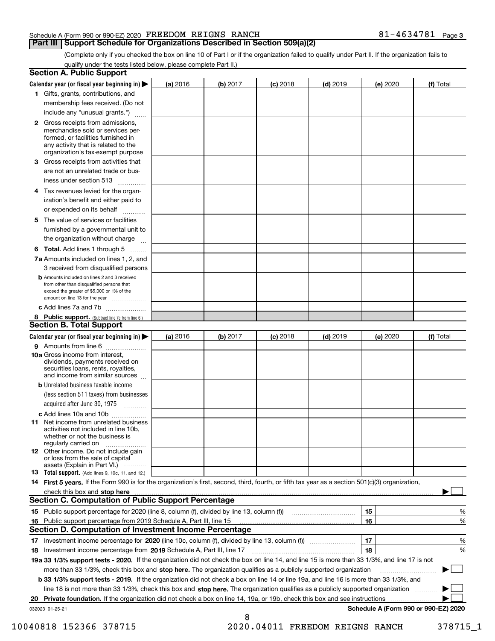### **Part III | Support Schedule for Organizations Described in Section 509(a)(2)**

 $81 - 4634781$  Page 3

(Complete only if you checked the box on line 10 of Part I or if the organization failed to qualify under Part II. If the organization fails to qualify under the tests listed below, please complete Part II.)

|     | <b>Section A. Public Support</b>                                                                                                                                                                                               |          |          |                 |            |          |                                      |
|-----|--------------------------------------------------------------------------------------------------------------------------------------------------------------------------------------------------------------------------------|----------|----------|-----------------|------------|----------|--------------------------------------|
|     | Calendar year (or fiscal year beginning in) $\blacktriangleright$                                                                                                                                                              | (a) 2016 | (b) 2017 | $(c)$ 2018      | $(d)$ 2019 | (e) 2020 | (f) Total                            |
|     | 1 Gifts, grants, contributions, and                                                                                                                                                                                            |          |          |                 |            |          |                                      |
|     | membership fees received. (Do not                                                                                                                                                                                              |          |          |                 |            |          |                                      |
|     | include any "unusual grants.")                                                                                                                                                                                                 |          |          |                 |            |          |                                      |
|     | 2 Gross receipts from admissions,<br>merchandise sold or services per-<br>formed, or facilities furnished in<br>any activity that is related to the<br>organization's tax-exempt purpose                                       |          |          |                 |            |          |                                      |
|     | <b>3</b> Gross receipts from activities that                                                                                                                                                                                   |          |          |                 |            |          |                                      |
|     | are not an unrelated trade or bus-                                                                                                                                                                                             |          |          |                 |            |          |                                      |
|     | iness under section 513                                                                                                                                                                                                        |          |          |                 |            |          |                                      |
| 4   | Tax revenues levied for the organ-<br>ization's benefit and either paid to                                                                                                                                                     |          |          |                 |            |          |                                      |
|     | or expended on its behalf                                                                                                                                                                                                      |          |          |                 |            |          |                                      |
| 5.  | The value of services or facilities                                                                                                                                                                                            |          |          |                 |            |          |                                      |
|     | furnished by a governmental unit to                                                                                                                                                                                            |          |          |                 |            |          |                                      |
|     | the organization without charge                                                                                                                                                                                                |          |          |                 |            |          |                                      |
|     |                                                                                                                                                                                                                                |          |          |                 |            |          |                                      |
|     | <b>6 Total.</b> Add lines 1 through 5<br>7a Amounts included on lines 1, 2, and                                                                                                                                                |          |          |                 |            |          |                                      |
|     | 3 received from disqualified persons                                                                                                                                                                                           |          |          |                 |            |          |                                      |
|     | <b>b</b> Amounts included on lines 2 and 3 received<br>from other than disqualified persons that<br>exceed the greater of \$5,000 or 1% of the<br>amount on line 13 for the year                                               |          |          |                 |            |          |                                      |
|     | c Add lines 7a and 7b                                                                                                                                                                                                          |          |          |                 |            |          |                                      |
|     | 8 Public support. (Subtract line 7c from line 6.)                                                                                                                                                                              |          |          |                 |            |          |                                      |
|     | <b>Section B. Total Support</b>                                                                                                                                                                                                |          |          |                 |            |          |                                      |
|     | Calendar year (or fiscal year beginning in) $\blacktriangleright$                                                                                                                                                              | (a) 2016 | (b) 2017 | <b>(c)</b> 2018 | $(d)$ 2019 | (e) 2020 | (f) Total                            |
|     | <b>9</b> Amounts from line 6                                                                                                                                                                                                   |          |          |                 |            |          |                                      |
|     | 10a Gross income from interest,<br>dividends, payments received on<br>securities loans, rents, royalties,<br>and income from similar sources                                                                                   |          |          |                 |            |          |                                      |
|     | <b>b</b> Unrelated business taxable income                                                                                                                                                                                     |          |          |                 |            |          |                                      |
|     | (less section 511 taxes) from businesses                                                                                                                                                                                       |          |          |                 |            |          |                                      |
|     | acquired after June 30, 1975                                                                                                                                                                                                   |          |          |                 |            |          |                                      |
|     | c Add lines 10a and 10b                                                                                                                                                                                                        |          |          |                 |            |          |                                      |
| 11. | Net income from unrelated business<br>activities not included in line 10b,<br>whether or not the business is<br>regularly carried on                                                                                           |          |          |                 |            |          |                                      |
|     | <b>12</b> Other income. Do not include gain<br>or loss from the sale of capital                                                                                                                                                |          |          |                 |            |          |                                      |
|     | assets (Explain in Part VI.)<br><b>13</b> Total support. (Add lines 9, 10c, 11, and 12.)                                                                                                                                       |          |          |                 |            |          |                                      |
|     | 14 First 5 years. If the Form 990 is for the organization's first, second, third, fourth, or fifth tax year as a section 501(c)(3) organization,                                                                               |          |          |                 |            |          |                                      |
|     | check this box and stop here measurements and contact the contract of the contract of the contract of the contract of the contract of the contract of the contract of the contract of the contract of the contract of the cont |          |          |                 |            |          |                                      |
|     | <b>Section C. Computation of Public Support Percentage</b>                                                                                                                                                                     |          |          |                 |            |          |                                      |
|     |                                                                                                                                                                                                                                |          |          |                 |            | 15       | %                                    |
|     | 16 Public support percentage from 2019 Schedule A, Part III, line 15                                                                                                                                                           |          |          |                 |            | 16       | %                                    |
|     | Section D. Computation of Investment Income Percentage                                                                                                                                                                         |          |          |                 |            |          |                                      |
|     |                                                                                                                                                                                                                                |          |          |                 |            | 17       | %                                    |
|     | 18 Investment income percentage from 2019 Schedule A, Part III, line 17                                                                                                                                                        |          |          |                 |            | 18       | %                                    |
|     | 19a 33 1/3% support tests - 2020. If the organization did not check the box on line 14, and line 15 is more than 33 1/3%, and line 17 is not                                                                                   |          |          |                 |            |          |                                      |
|     | more than 33 1/3%, check this box and stop here. The organization qualifies as a publicly supported organization                                                                                                               |          |          |                 |            |          |                                      |
|     | b 33 1/3% support tests - 2019. If the organization did not check a box on line 14 or line 19a, and line 16 is more than 33 1/3%, and                                                                                          |          |          |                 |            |          |                                      |
|     | line 18 is not more than 33 1/3%, check this box and stop here. The organization qualifies as a publicly supported organization                                                                                                |          |          |                 |            |          |                                      |
| 20  | Private foundation. If the organization did not check a box on line 14, 19a, or 19b, check this box and see instructions                                                                                                       |          |          |                 |            |          | .                                    |
|     | 032023 01-25-21                                                                                                                                                                                                                |          |          |                 |            |          | Schedule A (Form 990 or 990-EZ) 2020 |
|     |                                                                                                                                                                                                                                |          | 8        |                 |            |          |                                      |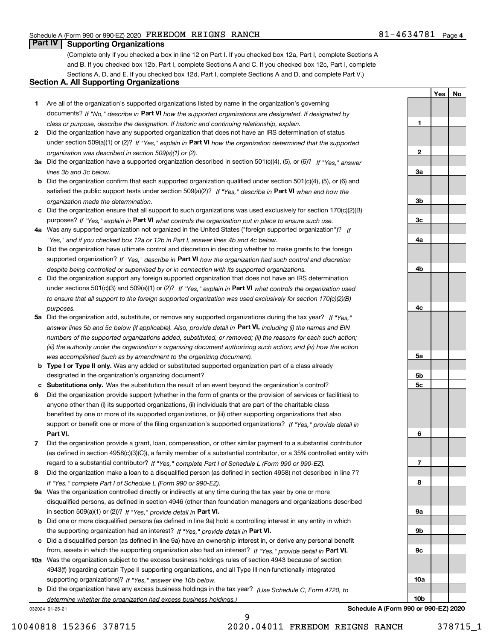1

2

3a

3b

3c

4a

4b

4c

5a

5b 5c

6

7

8

9a

9b

9c

10a

10b

Yes | No

## **Part IV Supporting Organizations**

(Complete only if you checked a box in line 12 on Part I. If you checked box 12a, Part I, complete Sections A and B. If you checked box 12b, Part I, complete Sections A and C. If you checked box 12c, Part I, complete Sections A, D, and E. If you checked box 12d, Part I, complete Sections A and D, and complete Part V.)

### Section A. All Supporting Organizations

- 1 Are all of the organization's supported organizations listed by name in the organization's governing documents? If "No," describe in Part VI how the supported organizations are designated. If designated by class or purpose, describe the designation. If historic and continuing relationship, explain.
- 2 Did the organization have any supported organization that does not have an IRS determination of status under section 509(a)(1) or (2)? If "Yes," explain in Part VI how the organization determined that the supported organization was described in section 509(a)(1) or (2).
- 3a Did the organization have a supported organization described in section 501(c)(4), (5), or (6)? If "Yes," answer lines 3b and 3c below.
- b Did the organization confirm that each supported organization qualified under section 501(c)(4), (5), or (6) and satisfied the public support tests under section 509(a)(2)? If "Yes," describe in Part VI when and how the organization made the determination.
- c Did the organization ensure that all support to such organizations was used exclusively for section 170(c)(2)(B) purposes? If "Yes," explain in Part VI what controls the organization put in place to ensure such use.
- 4a Was any supported organization not organized in the United States ("foreign supported organization")? If "Yes," and if you checked box 12a or 12b in Part I, answer lines 4b and 4c below.
- b Did the organization have ultimate control and discretion in deciding whether to make grants to the foreign supported organization? If "Yes," describe in Part VI how the organization had such control and discretion despite being controlled or supervised by or in connection with its supported organizations.
- c Did the organization support any foreign supported organization that does not have an IRS determination under sections 501(c)(3) and 509(a)(1) or (2)? If "Yes," explain in Part VI what controls the organization used to ensure that all support to the foreign supported organization was used exclusively for section 170(c)(2)(B) purposes.
- 5a Did the organization add, substitute, or remove any supported organizations during the tax year? If "Yes," answer lines 5b and 5c below (if applicable). Also, provide detail in **Part VI,** including (i) the names and EIN numbers of the supported organizations added, substituted, or removed; (ii) the reasons for each such action; (iii) the authority under the organization's organizing document authorizing such action; and (iv) how the action was accomplished (such as by amendment to the organizing document).
- **b Type I or Type II only.** Was any added or substituted supported organization part of a class already designated in the organization's organizing document?
- c Substitutions only. Was the substitution the result of an event beyond the organization's control?
- 6 Did the organization provide support (whether in the form of grants or the provision of services or facilities) to Part VI. support or benefit one or more of the filing organization's supported organizations? If "Yes," provide detail in anyone other than (i) its supported organizations, (ii) individuals that are part of the charitable class benefited by one or more of its supported organizations, or (iii) other supporting organizations that also
- 7 Did the organization provide a grant, loan, compensation, or other similar payment to a substantial contributor regard to a substantial contributor? If "Yes," complete Part I of Schedule L (Form 990 or 990-EZ). (as defined in section 4958(c)(3)(C)), a family member of a substantial contributor, or a 35% controlled entity with
- 8 Did the organization make a loan to a disqualified person (as defined in section 4958) not described in line 7? If "Yes," complete Part I of Schedule L (Form 990 or 990-EZ).
- **9a** Was the organization controlled directly or indirectly at any time during the tax year by one or more in section 509(a)(1) or (2))? If "Yes," provide detail in Part VI. disqualified persons, as defined in section 4946 (other than foundation managers and organizations described
- b Did one or more disqualified persons (as defined in line 9a) hold a controlling interest in any entity in which the supporting organization had an interest? If "Yes," provide detail in Part VI.
- c Did a disqualified person (as defined in line 9a) have an ownership interest in, or derive any personal benefit from, assets in which the supporting organization also had an interest? If "Yes," provide detail in Part VI.
- 10a Was the organization subject to the excess business holdings rules of section 4943 because of section supporting organizations)? If "Yes," answer line 10b below. 4943(f) (regarding certain Type II supporting organizations, and all Type III non-functionally integrated
- **b** Did the organization have any excess business holdings in the tax year? (Use Schedule C, Form 4720, to determine whether the organization had excess business holdings.)

9

032024 01-25-21



Schedule A (Form 990 or 990-EZ) 2020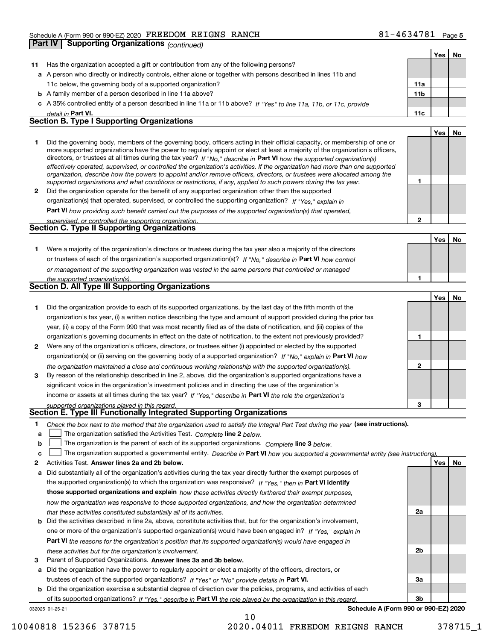|              | <b>Supporting Organizations (continued)</b><br>Part IV                                                                                                                                                                                                                                                                                                                                                                                                                                                                   |                 |     |    |
|--------------|--------------------------------------------------------------------------------------------------------------------------------------------------------------------------------------------------------------------------------------------------------------------------------------------------------------------------------------------------------------------------------------------------------------------------------------------------------------------------------------------------------------------------|-----------------|-----|----|
|              |                                                                                                                                                                                                                                                                                                                                                                                                                                                                                                                          |                 | Yes | No |
| 11           | Has the organization accepted a gift or contribution from any of the following persons?                                                                                                                                                                                                                                                                                                                                                                                                                                  |                 |     |    |
|              | a A person who directly or indirectly controls, either alone or together with persons described in lines 11b and                                                                                                                                                                                                                                                                                                                                                                                                         |                 |     |    |
|              | 11c below, the governing body of a supported organization?                                                                                                                                                                                                                                                                                                                                                                                                                                                               | 11a             |     |    |
|              | <b>b</b> A family member of a person described in line 11a above?                                                                                                                                                                                                                                                                                                                                                                                                                                                        | 11 <sub>b</sub> |     |    |
|              | c A 35% controlled entity of a person described in line 11a or 11b above? If "Yes" to line 11a, 11b, or 11c, provide                                                                                                                                                                                                                                                                                                                                                                                                     |                 |     |    |
|              | detail in Part VI.                                                                                                                                                                                                                                                                                                                                                                                                                                                                                                       | 11c             |     |    |
|              | <b>Section B. Type I Supporting Organizations</b>                                                                                                                                                                                                                                                                                                                                                                                                                                                                        |                 |     |    |
|              |                                                                                                                                                                                                                                                                                                                                                                                                                                                                                                                          |                 | Yes | No |
| 1.           | Did the governing body, members of the governing body, officers acting in their official capacity, or membership of one or<br>more supported organizations have the power to regularly appoint or elect at least a majority of the organization's officers,<br>directors, or trustees at all times during the tax year? If "No," describe in Part VI how the supported organization(s)<br>effectively operated, supervised, or controlled the organization's activities. If the organization had more than one supported |                 |     |    |
|              | organization, describe how the powers to appoint and/or remove officers, directors, or trustees were allocated among the<br>supported organizations and what conditions or restrictions, if any, applied to such powers during the tax year.                                                                                                                                                                                                                                                                             | 1               |     |    |
| $\mathbf{2}$ | Did the organization operate for the benefit of any supported organization other than the supported                                                                                                                                                                                                                                                                                                                                                                                                                      |                 |     |    |
|              | organization(s) that operated, supervised, or controlled the supporting organization? If "Yes," explain in                                                                                                                                                                                                                                                                                                                                                                                                               |                 |     |    |
|              | Part VI how providing such benefit carried out the purposes of the supported organization(s) that operated,                                                                                                                                                                                                                                                                                                                                                                                                              |                 |     |    |
|              | supervised, or controlled the supporting organization.<br><b>Section C. Type II Supporting Organizations</b>                                                                                                                                                                                                                                                                                                                                                                                                             | $\mathbf{2}$    |     |    |
|              |                                                                                                                                                                                                                                                                                                                                                                                                                                                                                                                          |                 |     |    |
|              |                                                                                                                                                                                                                                                                                                                                                                                                                                                                                                                          |                 | Yes | No |
| 1.           | Were a majority of the organization's directors or trustees during the tax year also a majority of the directors                                                                                                                                                                                                                                                                                                                                                                                                         |                 |     |    |
|              | or trustees of each of the organization's supported organization(s)? If "No," describe in Part VI how control                                                                                                                                                                                                                                                                                                                                                                                                            |                 |     |    |
|              | or management of the supporting organization was vested in the same persons that controlled or managed                                                                                                                                                                                                                                                                                                                                                                                                                   |                 |     |    |
|              | the supported organization(s).<br>Section D. All Type III Supporting Organizations                                                                                                                                                                                                                                                                                                                                                                                                                                       | 1               |     |    |
|              |                                                                                                                                                                                                                                                                                                                                                                                                                                                                                                                          |                 |     |    |
|              |                                                                                                                                                                                                                                                                                                                                                                                                                                                                                                                          |                 | Yes | No |
| 1            | Did the organization provide to each of its supported organizations, by the last day of the fifth month of the                                                                                                                                                                                                                                                                                                                                                                                                           |                 |     |    |
|              | organization's tax year, (i) a written notice describing the type and amount of support provided during the prior tax                                                                                                                                                                                                                                                                                                                                                                                                    |                 |     |    |
|              | year, (ii) a copy of the Form 990 that was most recently filed as of the date of notification, and (iii) copies of the                                                                                                                                                                                                                                                                                                                                                                                                   |                 |     |    |
|              | organization's governing documents in effect on the date of notification, to the extent not previously provided?                                                                                                                                                                                                                                                                                                                                                                                                         | 1               |     |    |
| 2            | Were any of the organization's officers, directors, or trustees either (i) appointed or elected by the supported                                                                                                                                                                                                                                                                                                                                                                                                         |                 |     |    |
|              | organization(s) or (ii) serving on the governing body of a supported organization? If "No," explain in Part VI how                                                                                                                                                                                                                                                                                                                                                                                                       |                 |     |    |
|              | the organization maintained a close and continuous working relationship with the supported organization(s).                                                                                                                                                                                                                                                                                                                                                                                                              | 2               |     |    |
| 3            | By reason of the relationship described in line 2, above, did the organization's supported organizations have a                                                                                                                                                                                                                                                                                                                                                                                                          |                 |     |    |
|              | significant voice in the organization's investment policies and in directing the use of the organization's                                                                                                                                                                                                                                                                                                                                                                                                               |                 |     |    |
|              | income or assets at all times during the tax year? If "Yes," describe in Part VI the role the organization's                                                                                                                                                                                                                                                                                                                                                                                                             |                 |     |    |
|              | supported organizations played in this regard.                                                                                                                                                                                                                                                                                                                                                                                                                                                                           | з               |     |    |
|              | Section E. Type III Functionally Integrated Supporting Organizations                                                                                                                                                                                                                                                                                                                                                                                                                                                     |                 |     |    |
| 1            | Check the box next to the method that the organization used to satisfy the Integral Part Test during the year (see instructions).                                                                                                                                                                                                                                                                                                                                                                                        |                 |     |    |
| a            | The organization satisfied the Activities Test. Complete line 2 below.                                                                                                                                                                                                                                                                                                                                                                                                                                                   |                 |     |    |
| b            | The organization is the parent of each of its supported organizations. Complete line 3 below.                                                                                                                                                                                                                                                                                                                                                                                                                            |                 |     |    |
| c            | The organization supported a governmental entity. Describe in Part VI how you supported a governmental entity (see instructions)                                                                                                                                                                                                                                                                                                                                                                                         |                 |     |    |
| 2            | Activities Test. Answer lines 2a and 2b below.                                                                                                                                                                                                                                                                                                                                                                                                                                                                           |                 | Yes | No |
| а            | Did substantially all of the organization's activities during the tax year directly further the exempt purposes of                                                                                                                                                                                                                                                                                                                                                                                                       |                 |     |    |
|              | the supported organization(s) to which the organization was responsive? If "Yes." then in Part VI identify                                                                                                                                                                                                                                                                                                                                                                                                               |                 |     |    |
|              | those supported organizations and explain how these activities directly furthered their exempt purposes,                                                                                                                                                                                                                                                                                                                                                                                                                 |                 |     |    |
|              | how the organization was responsive to those supported organizations, and how the organization determined                                                                                                                                                                                                                                                                                                                                                                                                                |                 |     |    |
|              | that these activities constituted substantially all of its activities.                                                                                                                                                                                                                                                                                                                                                                                                                                                   | 2a              |     |    |
|              | <b>b</b> Did the activities described in line 2a, above, constitute activities that, but for the organization's involvement,                                                                                                                                                                                                                                                                                                                                                                                             |                 |     |    |

- b Part VI the reasons for the organization's position that its supported organization(s) would have engaged in one or more of the organization's supported organization(s) would have been engaged in? If "Yes," explain in these activities but for the organization's involvement.
- 3 Parent of Supported Organizations. Answer lines 3a and 3b below.

a Did the organization have the power to regularly appoint or elect a majority of the officers, directors, or trustees of each of the supported organizations? If "Yes" or "No" provide details in Part VI.

032025 01-25-21 b Did the organization exercise a substantial degree of direction over the policies, programs, and activities of each of its supported organizations? If "Yes," describe in Part VI the role played by the organization in this regard.

10

Schedule A (Form 990 or 990-EZ) 2020

2b

3a

3b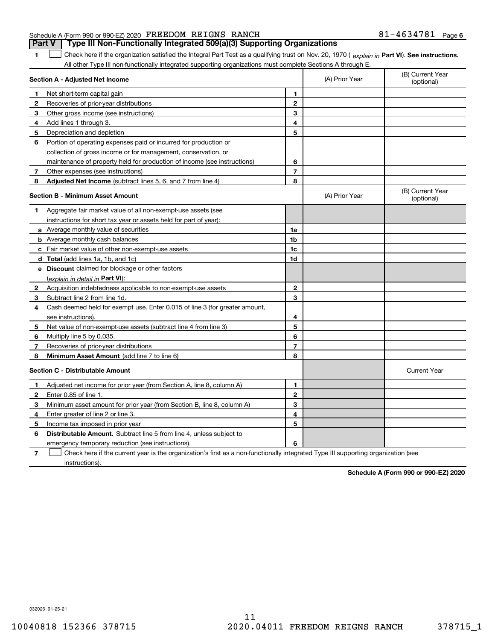### Schedule A (Form 990 or 990-EZ) 2020 Page FREEDOM REIGNS RANCH 81-4634781 **Part V** | Type III Non-Functionally Integrated 509(a)(3) Supporting Organizations

The Check here if the organization satisfied the Integral Part Test as a qualifying trust on Nov. 20, 1970 ( explain in Part VI). See instructions. All other Type III non-functionally integrated supporting organizations must complete Sections A through E.

|    | Section A - Adjusted Net Income                                                                                                   |                | (A) Prior Year | (B) Current Year<br>(optional) |
|----|-----------------------------------------------------------------------------------------------------------------------------------|----------------|----------------|--------------------------------|
| 1. | Net short-term capital gain                                                                                                       | 1              |                |                                |
| 2  | Recoveries of prior-year distributions                                                                                            | $\overline{2}$ |                |                                |
| з  | Other gross income (see instructions)                                                                                             | 3              |                |                                |
| 4  | Add lines 1 through 3.                                                                                                            | 4              |                |                                |
| 5  | Depreciation and depletion                                                                                                        | 5              |                |                                |
| 6  | Portion of operating expenses paid or incurred for production or                                                                  |                |                |                                |
|    | collection of gross income or for management, conservation, or                                                                    |                |                |                                |
|    | maintenance of property held for production of income (see instructions)                                                          | 6              |                |                                |
| 7  | Other expenses (see instructions)                                                                                                 | $\overline{7}$ |                |                                |
| 8  | Adjusted Net Income (subtract lines 5, 6, and 7 from line 4)                                                                      | 8              |                |                                |
|    | <b>Section B - Minimum Asset Amount</b>                                                                                           |                | (A) Prior Year | (B) Current Year<br>(optional) |
| 1  | Aggregate fair market value of all non-exempt-use assets (see                                                                     |                |                |                                |
|    | instructions for short tax year or assets held for part of year):                                                                 |                |                |                                |
|    | a Average monthly value of securities                                                                                             | 1a             |                |                                |
|    | <b>b</b> Average monthly cash balances                                                                                            | 1b             |                |                                |
|    | <b>c</b> Fair market value of other non-exempt-use assets                                                                         | 1c             |                |                                |
|    | d Total (add lines 1a, 1b, and 1c)                                                                                                | 1d             |                |                                |
|    | e Discount claimed for blockage or other factors                                                                                  |                |                |                                |
|    | (explain in detail in Part VI):                                                                                                   |                |                |                                |
| 2  | Acquisition indebtedness applicable to non-exempt-use assets                                                                      | $\mathbf{2}$   |                |                                |
| 3  | Subtract line 2 from line 1d.                                                                                                     | 3              |                |                                |
| 4  | Cash deemed held for exempt use. Enter 0.015 of line 3 (for greater amount,                                                       |                |                |                                |
|    | see instructions)                                                                                                                 | 4              |                |                                |
| 5  | Net value of non-exempt-use assets (subtract line 4 from line 3)                                                                  | 5              |                |                                |
| 6  | Multiply line 5 by 0.035.                                                                                                         | 6              |                |                                |
| 7  | Recoveries of prior-year distributions                                                                                            | $\overline{7}$ |                |                                |
| 8  | Minimum Asset Amount (add line 7 to line 6)                                                                                       | 8              |                |                                |
|    | <b>Section C - Distributable Amount</b>                                                                                           |                |                | <b>Current Year</b>            |
| 1  | Adjusted net income for prior year (from Section A, line 8, column A)                                                             | 1              |                |                                |
| 2  | Enter 0.85 of line 1.                                                                                                             | $\overline{2}$ |                |                                |
| 3  | Minimum asset amount for prior year (from Section B, line 8, column A)                                                            | 3              |                |                                |
| 4  | Enter greater of line 2 or line 3.                                                                                                | 4              |                |                                |
| 5  | Income tax imposed in prior year                                                                                                  | 5              |                |                                |
| 6  | <b>Distributable Amount.</b> Subtract line 5 from line 4, unless subject to                                                       |                |                |                                |
|    | emergency temporary reduction (see instructions).                                                                                 | 6              |                |                                |
| 7  | Check here if the current year is the organization's first as a non-functionally integrated Type III supporting organization (see |                |                |                                |

instructions).

Schedule A (Form 990 or 990-EZ) 2020

032026 01-25-21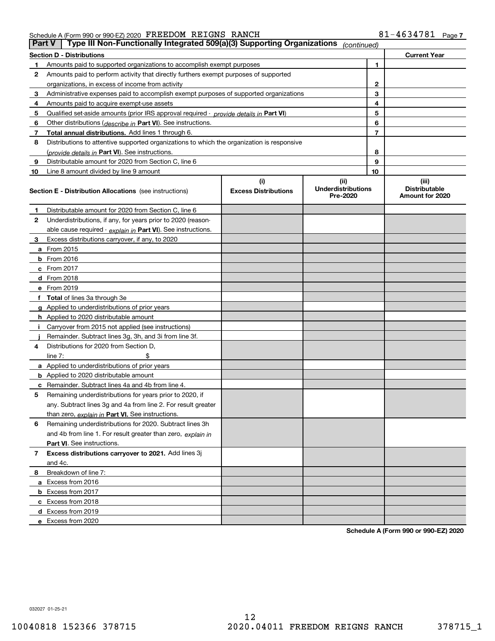|    | Type III Non-Functionally Integrated 509(a)(3) Supporting Organizations<br><b>Part V</b><br>(continued) |                             |                                       |                |                                         |  |
|----|---------------------------------------------------------------------------------------------------------|-----------------------------|---------------------------------------|----------------|-----------------------------------------|--|
|    | <b>Current Year</b><br>Section D - Distributions                                                        |                             |                                       |                |                                         |  |
|    | Amounts paid to supported organizations to accomplish exempt purposes                                   |                             |                                       | 1              |                                         |  |
| 2  | Amounts paid to perform activity that directly furthers exempt purposes of supported                    |                             |                                       |                |                                         |  |
|    | organizations, in excess of income from activity                                                        |                             | 2                                     |                |                                         |  |
| з  | Administrative expenses paid to accomplish exempt purposes of supported organizations                   |                             | 3                                     |                |                                         |  |
| 4  | Amounts paid to acquire exempt-use assets                                                               |                             |                                       | 4              |                                         |  |
| 5  | Qualified set-aside amounts (prior IRS approval required - provide details in Part VI)                  |                             |                                       | 5              |                                         |  |
| 6  | Other distributions (describe in Part VI). See instructions.                                            |                             |                                       | 6              |                                         |  |
| 7  | Total annual distributions. Add lines 1 through 6.                                                      |                             |                                       | $\overline{7}$ |                                         |  |
| 8  | Distributions to attentive supported organizations to which the organization is responsive              |                             |                                       |                |                                         |  |
|    | (provide details in Part VI). See instructions.                                                         |                             |                                       | 8              |                                         |  |
| 9  | Distributable amount for 2020 from Section C, line 6                                                    |                             |                                       | 9              |                                         |  |
| 10 | Line 8 amount divided by line 9 amount                                                                  |                             |                                       | 10             |                                         |  |
|    |                                                                                                         | (i)                         | (iii)                                 |                | (iii)                                   |  |
|    | <b>Section E - Distribution Allocations</b> (see instructions)                                          | <b>Excess Distributions</b> | <b>Underdistributions</b><br>Pre-2020 |                | <b>Distributable</b><br>Amount for 2020 |  |
| 1  | Distributable amount for 2020 from Section C, line 6                                                    |                             |                                       |                |                                         |  |
| 2  | Underdistributions, if any, for years prior to 2020 (reason-                                            |                             |                                       |                |                                         |  |
|    | able cause required - explain in Part VI). See instructions.                                            |                             |                                       |                |                                         |  |
| з  | Excess distributions carryover, if any, to 2020                                                         |                             |                                       |                |                                         |  |
|    | <b>a</b> From 2015                                                                                      |                             |                                       |                |                                         |  |
|    | <b>b</b> From 2016                                                                                      |                             |                                       |                |                                         |  |
|    | $c$ From 2017                                                                                           |                             |                                       |                |                                         |  |
|    | <b>d</b> From 2018                                                                                      |                             |                                       |                |                                         |  |
|    | e From 2019                                                                                             |                             |                                       |                |                                         |  |
|    | f Total of lines 3a through 3e                                                                          |                             |                                       |                |                                         |  |
|    | <b>g</b> Applied to underdistributions of prior years                                                   |                             |                                       |                |                                         |  |
|    | <b>h</b> Applied to 2020 distributable amount                                                           |                             |                                       |                |                                         |  |
|    | Carryover from 2015 not applied (see instructions)                                                      |                             |                                       |                |                                         |  |
|    | Remainder. Subtract lines 3g, 3h, and 3i from line 3f.                                                  |                             |                                       |                |                                         |  |
| 4  | Distributions for 2020 from Section D,                                                                  |                             |                                       |                |                                         |  |
|    | line $7:$                                                                                               |                             |                                       |                |                                         |  |
|    | <b>a</b> Applied to underdistributions of prior years                                                   |                             |                                       |                |                                         |  |
|    | <b>b</b> Applied to 2020 distributable amount                                                           |                             |                                       |                |                                         |  |
| с  | Remainder. Subtract lines 4a and 4b from line 4.                                                        |                             |                                       |                |                                         |  |
| 5  | Remaining underdistributions for years prior to 2020, if                                                |                             |                                       |                |                                         |  |
|    | any. Subtract lines 3g and 4a from line 2. For result greater                                           |                             |                                       |                |                                         |  |
|    | than zero, explain in Part VI. See instructions.                                                        |                             |                                       |                |                                         |  |
| 6  | Remaining underdistributions for 2020. Subtract lines 3h                                                |                             |                                       |                |                                         |  |
|    | and 4b from line 1. For result greater than zero, explain in                                            |                             |                                       |                |                                         |  |
|    | Part VI. See instructions.                                                                              |                             |                                       |                |                                         |  |
| 7  | Excess distributions carryover to 2021. Add lines 3j                                                    |                             |                                       |                |                                         |  |
|    | and 4c.                                                                                                 |                             |                                       |                |                                         |  |
| 8  | Breakdown of line 7:                                                                                    |                             |                                       |                |                                         |  |
|    | a Excess from 2016                                                                                      |                             |                                       |                |                                         |  |
|    | <b>b</b> Excess from 2017                                                                               |                             |                                       |                |                                         |  |
|    | c Excess from 2018                                                                                      |                             |                                       |                |                                         |  |
|    | d Excess from 2019                                                                                      |                             |                                       |                |                                         |  |
|    | e Excess from 2020                                                                                      |                             |                                       |                |                                         |  |

Schedule A (Form 990 or 990-EZ) 2020

032027 01-25-21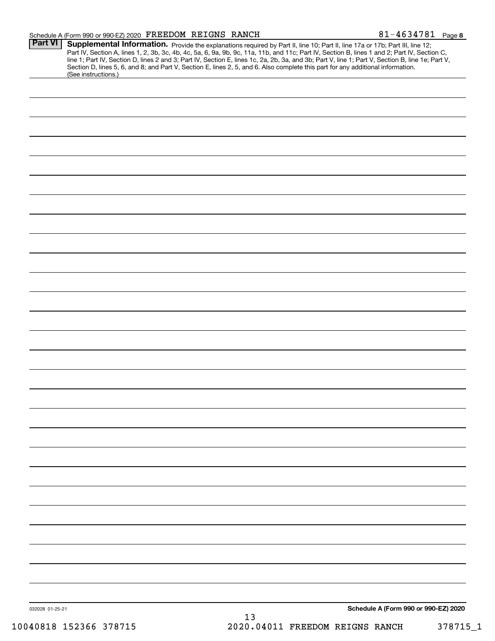| 032028 01-25-21 |  |
|-----------------|--|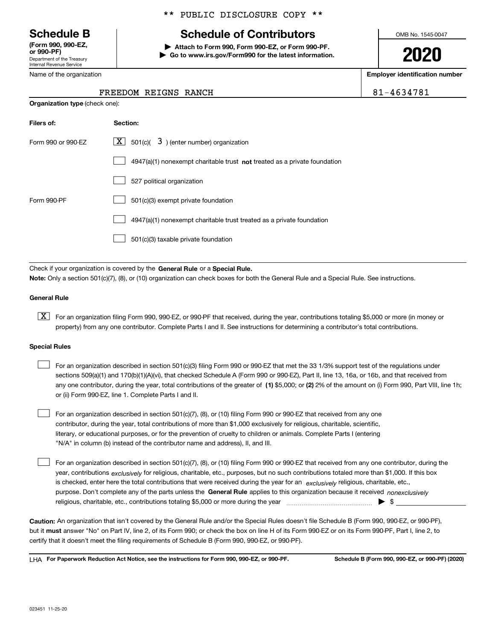Department of the Treasury Internal Revenue Service (Form 990, 990-EZ,

Name of the organization

### \*\* PUBLIC DISCLOSURE COPY \*\*

# Schedule B The Schedule of Contributors

Attach to Form 990, Form 990-EZ, or Form 990-PF. | Go to www.irs.gov/Form990 for the latest information. OMB No. 1545-0047

2020

Employer identification number

81-4634781

| FREEDOM REIGNS RANCH |  |
|----------------------|--|

| <b>Organization type (check one):</b> |                                                                                    |  |  |  |  |
|---------------------------------------|------------------------------------------------------------------------------------|--|--|--|--|
| Filers of:                            | Section:                                                                           |  |  |  |  |
| Form 990 or 990-EZ                    | $\lfloor x \rfloor$ 501(c)( 3) (enter number) organization                         |  |  |  |  |
|                                       | $4947(a)(1)$ nonexempt charitable trust <b>not</b> treated as a private foundation |  |  |  |  |
|                                       | 527 political organization                                                         |  |  |  |  |
| Form 990-PF                           | 501(c)(3) exempt private foundation                                                |  |  |  |  |
|                                       | 4947(a)(1) nonexempt charitable trust treated as a private foundation              |  |  |  |  |
|                                       | 501(c)(3) taxable private foundation                                               |  |  |  |  |
|                                       |                                                                                    |  |  |  |  |

Check if your organization is covered by the General Rule or a Special Rule. Note: Only a section 501(c)(7), (8), or (10) organization can check boxes for both the General Rule and a Special Rule. See instructions.

### General Rule

[X] For an organization filing Form 990, 990-EZ, or 990-PF that received, during the year, contributions totaling \$5,000 or more (in money or property) from any one contributor. Complete Parts I and II. See instructions for determining a contributor's total contributions.

### Special Rules

| For an organization described in section 501(c)(3) filing Form 990 or 990-EZ that met the 33 1/3% support test of the regulations under               |
|-------------------------------------------------------------------------------------------------------------------------------------------------------|
| sections 509(a)(1) and 170(b)(1)(A)(vi), that checked Schedule A (Form 990 or 990-EZ), Part II, line 13, 16a, or 16b, and that received from          |
| any one contributor, during the year, total contributions of the greater of (1) \$5,000; or (2) 2% of the amount on (i) Form 990, Part VIII, line 1h; |
| or (ii) Form 990-EZ, line 1. Complete Parts I and II.                                                                                                 |

For an organization described in section 501(c)(7), (8), or (10) filing Form 990 or 990-EZ that received from any one contributor, during the year, total contributions of more than \$1,000 exclusively for religious, charitable, scientific, literary, or educational purposes, or for the prevention of cruelty to children or animals. Complete Parts I (entering "N/A" in column (b) instead of the contributor name and address), II, and III.  $\begin{array}{c} \hline \end{array}$ 

purpose. Don't complete any of the parts unless the General Rule applies to this organization because it received nonexclusively year, contributions <sub>exclusively</sub> for religious, charitable, etc., purposes, but no such contributions totaled more than \$1,000. If this box is checked, enter here the total contributions that were received during the year for an exclusively religious, charitable, etc., For an organization described in section 501(c)(7), (8), or (10) filing Form 990 or 990-EZ that received from any one contributor, during the religious, charitable, etc., contributions totaling \$5,000 or more during the year  $\Box$ — $\Box$   $\Box$  $\begin{array}{c} \hline \end{array}$ 

Caution: An organization that isn't covered by the General Rule and/or the Special Rules doesn't file Schedule B (Form 990, 990-EZ, or 990-PF), but it **must** answer "No" on Part IV, line 2, of its Form 990; or check the box on line H of its Form 990-EZ or on its Form 990-PF, Part I, line 2, to certify that it doesn't meet the filing requirements of Schedule B (Form 990, 990-EZ, or 990-PF).

LHA For Paperwork Reduction Act Notice, see the instructions for Form 990, 990-EZ, or 990-PF. Schedule B (Form 990, 990-EZ, or 990-PF) (2020)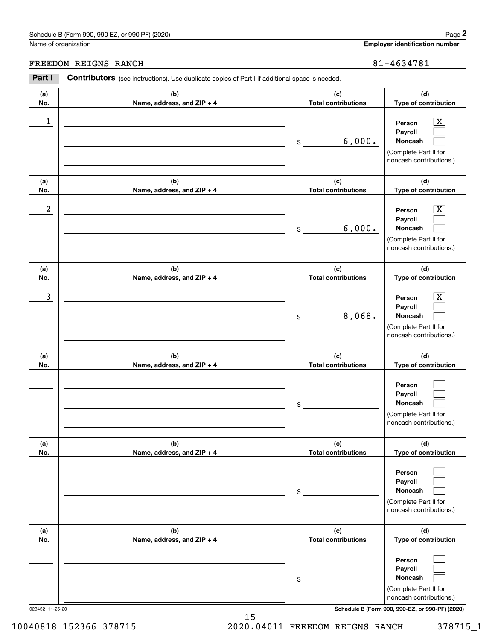Employer identification number

FREEDOM REIGNS RANCH 81-4634781

| Part I           | <b>Contributors</b> (see instructions). Use duplicate copies of Part I if additional space is needed. |                                   |                                                                                                                                     |
|------------------|-------------------------------------------------------------------------------------------------------|-----------------------------------|-------------------------------------------------------------------------------------------------------------------------------------|
| (a)<br>No.       | (b)<br>Name, address, and ZIP + 4                                                                     | (c)<br><b>Total contributions</b> | (d)<br>Type of contribution                                                                                                         |
| 1                |                                                                                                       | 6,000.<br>\$                      | $\overline{\mathbf{X}}$<br>Person<br>Payroll<br>Noncash<br>(Complete Part II for<br>noncash contributions.)                         |
| (a)<br>No.       | (b)<br>Name, address, and ZIP + 4                                                                     | (c)<br><b>Total contributions</b> | (d)<br>Type of contribution                                                                                                         |
| $\boldsymbol{2}$ |                                                                                                       | 6,000.<br>\$                      | $\overline{\mathbf{X}}$<br>Person<br>Payroll<br>Noncash<br>(Complete Part II for<br>noncash contributions.)                         |
| (a)<br>No.       | (b)<br>Name, address, and ZIP + 4                                                                     | (c)<br><b>Total contributions</b> | (d)<br>Type of contribution                                                                                                         |
| 3                |                                                                                                       | 8,068.<br>\$                      | X<br>Person<br>Payroll<br>Noncash<br>(Complete Part II for<br>noncash contributions.)                                               |
| (a)<br>No.       | (b)<br>Name, address, and ZIP + 4                                                                     | (c)<br><b>Total contributions</b> | (d)<br>Type of contribution                                                                                                         |
|                  |                                                                                                       | \$                                | Person<br>Payroll<br>Noncash<br>(Complete Part II for<br>noncash contributions.)                                                    |
| (a)<br>No.       | (b)<br>Name, address, and ZIP + 4                                                                     | (c)<br><b>Total contributions</b> | (d)<br>Type of contribution                                                                                                         |
|                  |                                                                                                       | \$                                | Person<br>Payroll<br>Noncash<br>(Complete Part II for<br>noncash contributions.)                                                    |
| (a)<br>No.       | (b)<br>Name, address, and ZIP + 4                                                                     | (c)<br><b>Total contributions</b> | (d)<br>Type of contribution                                                                                                         |
| 023452 11-25-20  |                                                                                                       | \$                                | Person<br>Payroll<br>Noncash<br>(Complete Part II for<br>noncash contributions.)<br>Schedule B (Form 990, 990-EZ, or 990-PF) (2020) |

10040818 152366 378715 2020.04011 FREEDOM REIGNS RANCH 378715\_1

15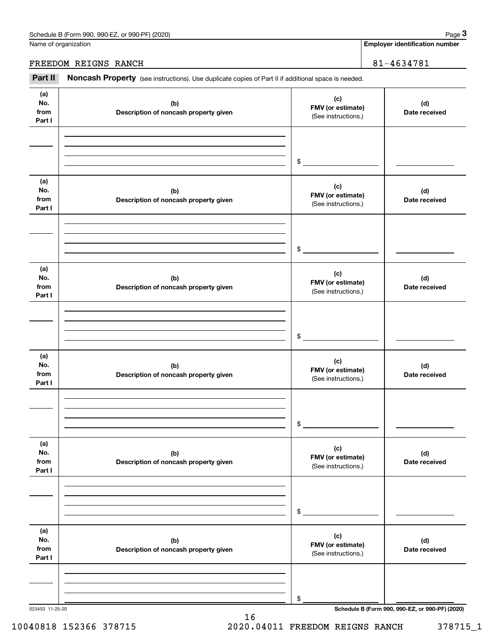Name of organization

Employer identification number

## FREEDOM REIGNS RANCH 81-4634781

Part II Noncash Property (see instructions). Use duplicate copies of Part II if additional space is needed.

| (a)<br>No.<br>from<br>Part I | (b)<br>Description of noncash property given | (c)<br>FMV (or estimate)<br>(See instructions.) | (d)<br>Date received                            |
|------------------------------|----------------------------------------------|-------------------------------------------------|-------------------------------------------------|
|                              |                                              | $\frac{1}{2}$                                   |                                                 |
| (a)<br>No.<br>from<br>Part I | (b)<br>Description of noncash property given | (c)<br>FMV (or estimate)<br>(See instructions.) | (d)<br>Date received                            |
|                              |                                              | $\frac{1}{2}$                                   |                                                 |
| (a)<br>No.<br>from<br>Part I | (b)<br>Description of noncash property given | (c)<br>FMV (or estimate)<br>(See instructions.) | (d)<br>Date received                            |
|                              |                                              | $\mathfrak{S}$                                  |                                                 |
| (a)<br>No.<br>from<br>Part I | (b)<br>Description of noncash property given | (c)<br>FMV (or estimate)<br>(See instructions.) | (d)<br>Date received                            |
|                              |                                              | $\mathfrak{S}$                                  |                                                 |
| (a)<br>No.<br>from<br>Part I | (b)<br>Description of noncash property given | (c)<br>FMV (or estimate)<br>(See instructions.) | (d)<br>Date received                            |
|                              |                                              | \$                                              |                                                 |
| (a)<br>No.<br>from<br>Part I | (b)<br>Description of noncash property given | (c)<br>FMV (or estimate)<br>(See instructions.) | (d)<br>Date received                            |
|                              |                                              | \$                                              |                                                 |
| 023453 11-25-20              |                                              |                                                 | Schedule B (Form 990, 990-EZ, or 990-PF) (2020) |

16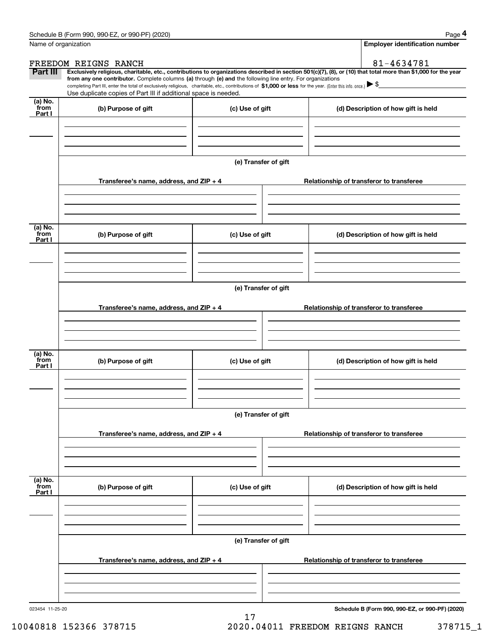| Name of organization       |                                                                                                                                                                               |                      |                                          | <b>Employer identification number</b>                                                                                                                                                                                                                                                                                                           |
|----------------------------|-------------------------------------------------------------------------------------------------------------------------------------------------------------------------------|----------------------|------------------------------------------|-------------------------------------------------------------------------------------------------------------------------------------------------------------------------------------------------------------------------------------------------------------------------------------------------------------------------------------------------|
|                            | FREEDOM REIGNS RANCH                                                                                                                                                          |                      |                                          | 81-4634781                                                                                                                                                                                                                                                                                                                                      |
| Part III                   | from any one contributor. Complete columns (a) through (e) and the following line entry. For organizations<br>Use duplicate copies of Part III if additional space is needed. |                      |                                          | Exclusively religious, charitable, etc., contributions to organizations described in section 501(c)(7), (8), or (10) that total more than \$1,000 for the year<br>completing Part III, enter the total of exclusively religious, charitable, etc., contributions of $$1,000$ or less for the year. (Enter this info. once.) $\triangleright$ \$ |
| (a) No.<br>from<br>Part I  | (b) Purpose of gift                                                                                                                                                           | (c) Use of gift      |                                          | (d) Description of how gift is held                                                                                                                                                                                                                                                                                                             |
|                            |                                                                                                                                                                               |                      |                                          |                                                                                                                                                                                                                                                                                                                                                 |
|                            | Transferee's name, address, and $ZIP + 4$                                                                                                                                     | (e) Transfer of gift |                                          | Relationship of transferor to transferee                                                                                                                                                                                                                                                                                                        |
|                            |                                                                                                                                                                               |                      |                                          |                                                                                                                                                                                                                                                                                                                                                 |
| (a) No.<br>`from<br>Part I | (b) Purpose of gift                                                                                                                                                           | (c) Use of gift      |                                          | (d) Description of how gift is held                                                                                                                                                                                                                                                                                                             |
|                            |                                                                                                                                                                               |                      |                                          |                                                                                                                                                                                                                                                                                                                                                 |
|                            | (e) Transfer of gift<br>Transferee's name, address, and ZIP + 4                                                                                                               |                      | Relationship of transferor to transferee |                                                                                                                                                                                                                                                                                                                                                 |
|                            |                                                                                                                                                                               |                      |                                          |                                                                                                                                                                                                                                                                                                                                                 |
| (a) No.<br>`from<br>Part I | (b) Purpose of gift                                                                                                                                                           | (c) Use of gift      |                                          | (d) Description of how gift is held                                                                                                                                                                                                                                                                                                             |
|                            |                                                                                                                                                                               | (e) Transfer of gift |                                          |                                                                                                                                                                                                                                                                                                                                                 |
|                            | Transferee's name, address, and ZIP + 4                                                                                                                                       |                      |                                          | Relationship of transferor to transferee                                                                                                                                                                                                                                                                                                        |
| (a) No.<br>`from<br>Part I | (b) Purpose of gift                                                                                                                                                           | (c) Use of gift      |                                          | (d) Description of how gift is held                                                                                                                                                                                                                                                                                                             |
|                            |                                                                                                                                                                               |                      |                                          |                                                                                                                                                                                                                                                                                                                                                 |
|                            | (e) Transfer of gift                                                                                                                                                          |                      |                                          |                                                                                                                                                                                                                                                                                                                                                 |
|                            | Transferee's name, address, and ZIP + 4                                                                                                                                       |                      |                                          | Relationship of transferor to transferee                                                                                                                                                                                                                                                                                                        |
| 023454 11-25-20            |                                                                                                                                                                               |                      |                                          | Schedule B (Form 990, 990-EZ, or 990-PF) (2020)                                                                                                                                                                                                                                                                                                 |

17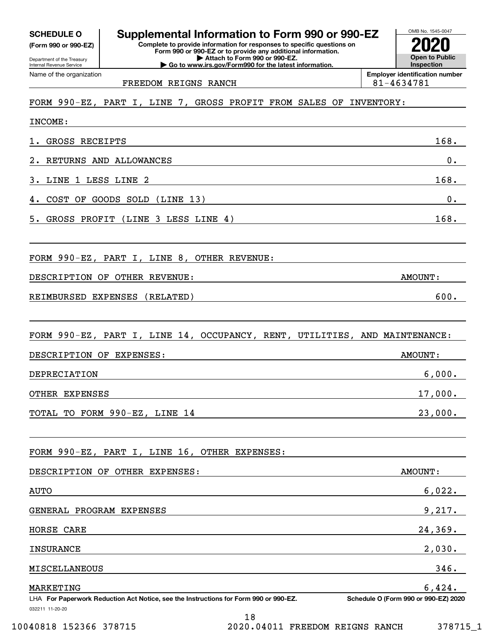(Form 990 or 990-EZ)

Department of the Treasury Internal Revenue Service Name of the organization

### OMB No. 1545-0047 Complete to provide information for responses to specific questions on Form 990 or 990-EZ or to provide any additional information. SCHEDULE O Supplemental Information to Form 990 or 990-EZ  $\frac{1008 \text{ Na} - 1545 \cdot 0.02}{2020}$

| Attach to Form 990 or 990-EZ. ▶ Go to www.irs.gov/Form990 for the latest information.

Open to Public **Inspection** Employer identification number

FREEDOM REIGNS RANCH 81-4634781

# FORM 990-EZ, PART I, LINE 7, GROSS PROFIT FROM SALES OF INVENTORY:

| INCOME:                                                                                                       |                                      |
|---------------------------------------------------------------------------------------------------------------|--------------------------------------|
| 1. GROSS RECEIPTS                                                                                             | 168.                                 |
| 2. RETURNS AND ALLOWANCES                                                                                     | 0.                                   |
| 3. LINE 1 LESS LINE 2                                                                                         | 168.                                 |
| 4. COST OF GOODS SOLD (LINE 13)                                                                               | 0.                                   |
| 5. GROSS PROFIT (LINE 3 LESS LINE 4)                                                                          | 168.                                 |
| FORM 990-EZ, PART I, LINE 8, OTHER REVENUE:                                                                   |                                      |
| DESCRIPTION OF OTHER REVENUE:                                                                                 | AMOUNT:                              |
| REIMBURSED EXPENSES (RELATED)                                                                                 | 600.                                 |
| FORM 990-EZ, PART I, LINE 14, OCCUPANCY, RENT, UTILITIES, AND MAINTENANCE:                                    |                                      |
| DESCRIPTION OF EXPENSES:                                                                                      | <b>AMOUNT:</b>                       |
| DEPRECIATION                                                                                                  | 6,000.                               |
| OTHER EXPENSES                                                                                                | 17,000.                              |
| TOTAL TO FORM 990-EZ, LINE 14                                                                                 | 23,000.                              |
| FORM 990-EZ, PART I, LINE 16, OTHER EXPENSES:                                                                 |                                      |
| DESCRIPTION OF OTHER EXPENSES:                                                                                | AMOUNT:                              |
| <b>AUTO</b>                                                                                                   | 6,022.                               |
| GENERAL PROGRAM EXPENSES                                                                                      | 9,217.                               |
| HORSE CARE                                                                                                    | 24,369.                              |
| <b>INSURANCE</b>                                                                                              | 2,030.                               |
| MISCELLANEOUS                                                                                                 | 346.                                 |
| MARKETING                                                                                                     | 6,424.                               |
| LHA For Paperwork Reduction Act Notice, see the Instructions for Form 990 or 990-EZ.<br>032211 11-20-20<br>10 | Schedule O (Form 990 or 990-EZ) 2020 |

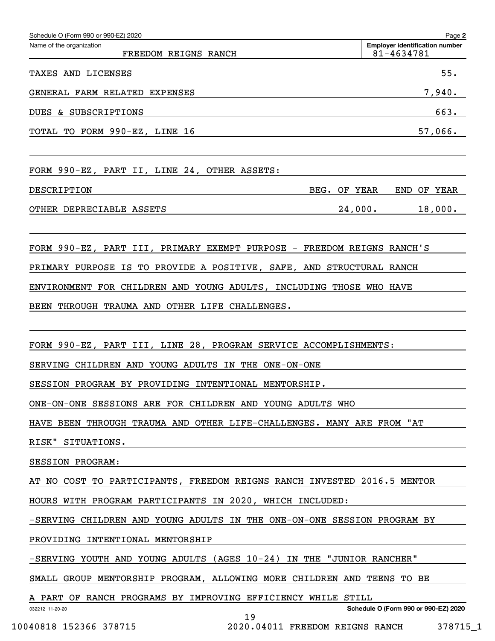| Schedule O (Form 990 or 990-EZ) 2020             |                                                     | Page 2     |
|--------------------------------------------------|-----------------------------------------------------|------------|
| Name of the organization<br>FREEDOM REIGNS RANCH | <b>Employer identification number</b><br>81-4634781 |            |
| LICENSES<br>TAXES AND                            |                                                     | 55.        |
| GENERAL FARM RELATED EXPENSES                    |                                                     | 7,940.     |
| SUBSCRIPTIONS<br>DUES<br>&                       |                                                     | 663.       |
| TOTAL TO FORM 990-EZ, LINE 16                    |                                                     | 57,066.    |
|                                                  |                                                     |            |
| FORM 990-EZ, PART II, LINE 24, OTHER ASSETS:     |                                                     |            |
| DESCRIPTION                                      | BEG.<br>OF YEAR<br>END                              | OF<br>YEAR |
| OTHER DEPRECIABLE ASSETS                         | 24,000.                                             | 18,000.    |

FORM 990-EZ, PART III, PRIMARY EXEMPT PURPOSE - FREEDOM REIGNS RANCH'S

PRIMARY PURPOSE IS TO PROVIDE A POSITIVE, SAFE, AND STRUCTURAL RANCH

ENVIRONMENT FOR CHILDREN AND YOUNG ADULTS, INCLUDING THOSE WHO HAVE

BEEN THROUGH TRAUMA AND OTHER LIFE CHALLENGES.

FORM 990-EZ, PART III, LINE 28, PROGRAM SERVICE ACCOMPLISHMENTS:

SERVING CHILDREN AND YOUNG ADULTS IN THE ONE-ON-ONE

SESSION PROGRAM BY PROVIDING INTENTIONAL MENTORSHIP.

ONE-ON-ONE SESSIONS ARE FOR CHILDREN AND YOUNG ADULTS WHO

HAVE BEEN THROUGH TRAUMA AND OTHER LIFE-CHALLENGES. MANY ARE FROM "AT

RISK" SITUATIONS.

SESSION PROGRAM:

AT NO COST TO PARTICIPANTS, FREEDOM REIGNS RANCH INVESTED 2016.5 MENTOR

HOURS WITH PROGRAM PARTICIPANTS IN 2020, WHICH INCLUDED:

-SERVING CHILDREN AND YOUNG ADULTS IN THE ONE-ON-ONE SESSION PROGRAM BY

PROVIDING INTENTIONAL MENTORSHIP

-SERVING YOUTH AND YOUNG ADULTS (AGES 10-24) IN THE "JUNIOR RANCHER"

SMALL GROUP MENTORSHIP PROGRAM, ALLOWING MORE CHILDREN AND TEENS TO BE

19

A PART OF RANCH PROGRAMS BY IMPROVING EFFICIENCY WHILE STILL

032212 11-20-20

Schedule O (Form 990 or 990-EZ) 2020